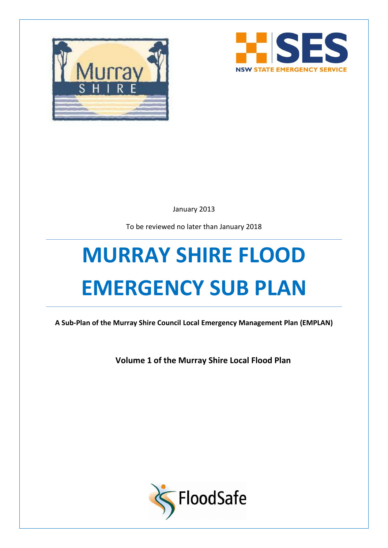



January 2013

To be reviewed no later than January 2018

# **MURRAY SHIRE FLOOD EMERGENCY SUB PLAN**

**A Sub-Plan of the Murray Shire Council Local Emergency Management Plan (EMPLAN)**

**Volume 1 of the Murray Shire Local Flood Plan**

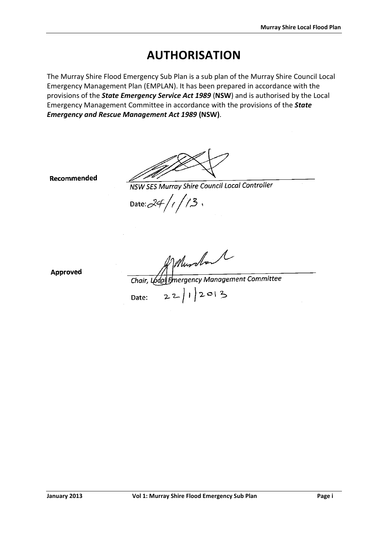# **AUTHORISATION**

<span id="page-1-0"></span>The Murray Shire Flood Emergency Sub Plan is a sub plan of the Murray Shire Council Local Emergency Management Plan (EMPLAN). It has been prepared in accordance with the provisions of the *State Emergency Service Act 1989* (**NSW**) and is authorised by the Local Emergency Management Committee in accordance with the provisions of the *State Emergency and Rescue Management Act 1989* **(NSW)**.

Recommended

NSW SES Murray Shire Council Local Controller

Date:  $24/1/3$ 

**Approved** 

 $\begin{array}{c}\n\mathcal{M} & \mathcal{M} \\
\hline\n\text{Chair, Loda} & \text{Energy Management Committee} \\
\text{Date:} & 22 | 1 | 2013\n\end{array}$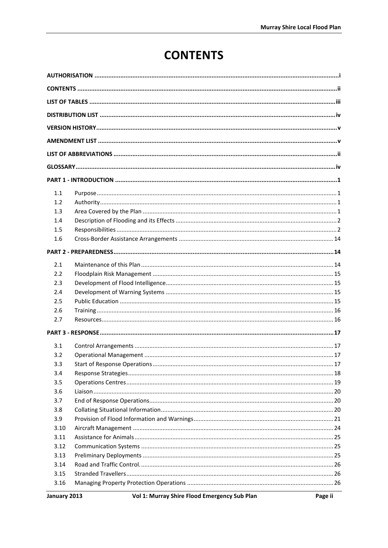# **CONTENTS**

<span id="page-2-0"></span>

| 1.1  |  |  |  |
|------|--|--|--|
| 1.2  |  |  |  |
| 1.3  |  |  |  |
| 1.4  |  |  |  |
| 1.5  |  |  |  |
| 1.6  |  |  |  |
|      |  |  |  |
| 2.1  |  |  |  |
| 2.2  |  |  |  |
| 2.3  |  |  |  |
| 2.4  |  |  |  |
| 2.5  |  |  |  |
| 2.6  |  |  |  |
| 2.7  |  |  |  |
|      |  |  |  |
| 3.1  |  |  |  |
| 3.2  |  |  |  |
| 3.3  |  |  |  |
| 3.4  |  |  |  |
| 3.5  |  |  |  |
| 3.6  |  |  |  |
| 3.7  |  |  |  |
| 3.8  |  |  |  |
| 3.9  |  |  |  |
| 3.10 |  |  |  |
| 3.11 |  |  |  |
| 3.12 |  |  |  |
| 3.13 |  |  |  |
| 3.14 |  |  |  |
| 3.15 |  |  |  |
| 3.16 |  |  |  |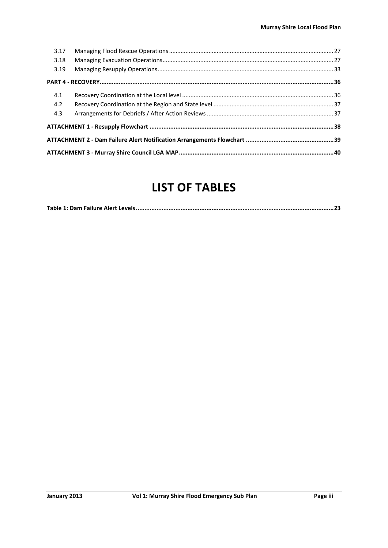| 3.17 |  |  |
|------|--|--|
| 3.18 |  |  |
| 3.19 |  |  |
|      |  |  |
| 4.1  |  |  |
| 4.2  |  |  |
| 4.3  |  |  |
|      |  |  |
|      |  |  |
|      |  |  |

# **LIST OF TABLES**

<span id="page-3-0"></span>

|--|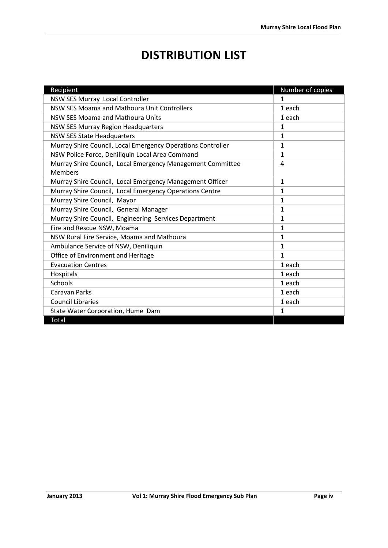# **DISTRIBUTION LIST**

<span id="page-4-0"></span>

| Recipient                                                                    | Number of copies |
|------------------------------------------------------------------------------|------------------|
| NSW SES Murray Local Controller                                              | 1                |
| NSW SES Moama and Mathoura Unit Controllers                                  | 1 each           |
| <b>NSW SES Moama and Mathoura Units</b>                                      | 1 each           |
| NSW SES Murray Region Headquarters                                           | 1                |
| <b>NSW SES State Headquarters</b>                                            | $\mathbf{1}$     |
| Murray Shire Council, Local Emergency Operations Controller                  | $\mathbf{1}$     |
| NSW Police Force, Deniliquin Local Area Command                              | 1                |
| Murray Shire Council, Local Emergency Management Committee<br><b>Members</b> | 4                |
| Murray Shire Council, Local Emergency Management Officer                     | $\mathbf{1}$     |
| Murray Shire Council, Local Emergency Operations Centre                      | $\mathbf{1}$     |
| Murray Shire Council, Mayor                                                  | $\mathbf{1}$     |
| Murray Shire Council, General Manager                                        | 1                |
| Murray Shire Council, Engineering Services Department                        | $\mathbf{1}$     |
| Fire and Rescue NSW, Moama                                                   | $\mathbf{1}$     |
| NSW Rural Fire Service, Moama and Mathoura                                   | $\mathbf{1}$     |
| Ambulance Service of NSW, Deniliquin                                         | $\mathbf{1}$     |
| Office of Environment and Heritage                                           | $\mathbf{1}$     |
| <b>Evacuation Centres</b>                                                    | 1 each           |
| Hospitals                                                                    | 1 each           |
| Schools                                                                      | 1 each           |
| <b>Caravan Parks</b>                                                         | 1 each           |
| <b>Council Libraries</b>                                                     | 1 each           |
| State Water Corporation, Hume Dam                                            | 1                |
| Total                                                                        |                  |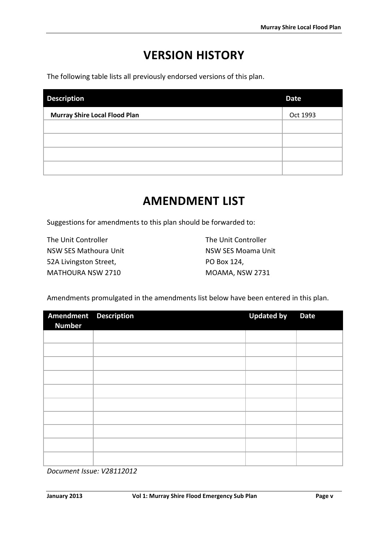# **VERSION HISTORY**

<span id="page-5-0"></span>The following table lists all previously endorsed versions of this plan.

| <b>Description</b>                   | <b>Date</b> |
|--------------------------------------|-------------|
| <b>Murray Shire Local Flood Plan</b> | Oct 1993    |
|                                      |             |
|                                      |             |
|                                      |             |
|                                      |             |

# **AMENDMENT LIST**

<span id="page-5-1"></span>Suggestions for amendments to this plan should be forwarded to:

The Unit Controller NSW SES Mathoura Unit 52A Livingston Street, MATHOURA NSW 2710

The Unit Controller NSW SES Moama Unit PO Box 124, MOAMA, NSW 2731

Amendments promulgated in the amendments list below have been entered in this plan.

| Amendment Description<br><b>Number</b> | <b>Updated by</b> | <b>Date</b> |
|----------------------------------------|-------------------|-------------|
|                                        |                   |             |
|                                        |                   |             |
|                                        |                   |             |
|                                        |                   |             |
|                                        |                   |             |
|                                        |                   |             |
|                                        |                   |             |
|                                        |                   |             |
|                                        |                   |             |
|                                        |                   |             |

*Document Issue: V28112012*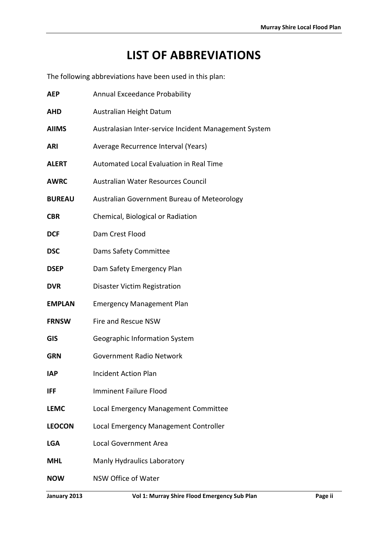# **LIST OF ABBREVIATIONS**

<span id="page-6-0"></span>The following abbreviations have been used in this plan:

| <b>AEP</b>    | Annual Exceedance Probability                         |  |  |
|---------------|-------------------------------------------------------|--|--|
| <b>AHD</b>    | Australian Height Datum                               |  |  |
| <b>AIIMS</b>  | Australasian Inter-service Incident Management System |  |  |
| <b>ARI</b>    | Average Recurrence Interval (Years)                   |  |  |
| <b>ALERT</b>  | Automated Local Evaluation in Real Time               |  |  |
| <b>AWRC</b>   | Australian Water Resources Council                    |  |  |
| <b>BUREAU</b> | Australian Government Bureau of Meteorology           |  |  |
| <b>CBR</b>    | Chemical, Biological or Radiation                     |  |  |
| <b>DCF</b>    | Dam Crest Flood                                       |  |  |
| <b>DSC</b>    | Dams Safety Committee                                 |  |  |
| <b>DSEP</b>   | Dam Safety Emergency Plan                             |  |  |
| <b>DVR</b>    | <b>Disaster Victim Registration</b>                   |  |  |
| <b>EMPLAN</b> | <b>Emergency Management Plan</b>                      |  |  |
| <b>FRNSW</b>  | Fire and Rescue NSW                                   |  |  |
| <b>GIS</b>    | Geographic Information System                         |  |  |
| <b>GRN</b>    | <b>Government Radio Network</b>                       |  |  |
| <b>IAP</b>    | <b>Incident Action Plan</b>                           |  |  |
| IFF           | <b>Imminent Failure Flood</b>                         |  |  |
| <b>LEMC</b>   | Local Emergency Management Committee                  |  |  |
| <b>LEOCON</b> | Local Emergency Management Controller                 |  |  |
| <b>LGA</b>    | <b>Local Government Area</b>                          |  |  |
| <b>MHL</b>    | Manly Hydraulics Laboratory                           |  |  |
| <b>NOW</b>    | NSW Office of Water                                   |  |  |
|               |                                                       |  |  |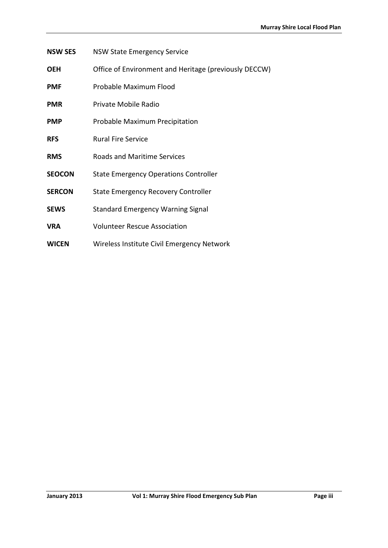- **NSW SES** NSW State Emergency Service
- **OEH** Office of Environment and Heritage (previously DECCW)
- **PMF** Probable Maximum Flood
- **PMR** Private Mobile Radio
- **PMP** Probable Maximum Precipitation
- **RFS** Rural Fire Service
- **RMS** Roads and Maritime Services
- **SEOCON** State Emergency Operations Controller
- **SERCON** State Emergency Recovery Controller
- **SEWS** Standard Emergency Warning Signal
- **VRA** Volunteer Rescue Association
- **WICEN** Wireless Institute Civil Emergency Network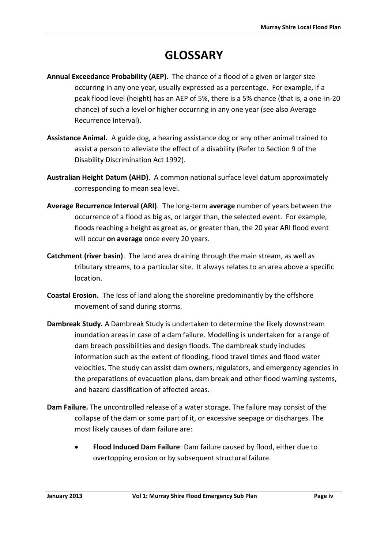# **GLOSSARY**

- <span id="page-8-0"></span>**Annual Exceedance Probability (AEP)**. The chance of a flood of a given or larger size occurring in any one year, usually expressed as a percentage. For example, if a peak flood level (height) has an AEP of 5%, there is a 5% chance (that is, a one-in-20 chance) of such a level or higher occurring in any one year (see also Average Recurrence Interval).
- **Assistance Animal.** A guide dog, a hearing assistance dog or any other animal trained to assist a person to alleviate the effect of a disability (Refer to Section 9 of the Disability Discrimination Act 1992).
- **Australian Height Datum (AHD)**. A common national surface level datum approximately corresponding to mean sea level.
- **Average Recurrence Interval (ARI)**. The long-term **average** number of years between the occurrence of a flood as big as, or larger than, the selected event. For example, floods reaching a height as great as, or greater than, the 20 year ARI flood event will occur **on average** once every 20 years.
- **Catchment (river basin)**. The land area draining through the main stream, as well as tributary streams, to a particular site. It always relates to an area above a specific location.
- **Coastal Erosion.** The loss of land along the shoreline predominantly by the offshore movement of sand during storms.
- **Dambreak Study.** A Dambreak Study is undertaken to determine the likely downstream inundation areas in case of a dam failure. Modelling is undertaken for a range of dam breach possibilities and design floods. The dambreak study includes information such as the extent of flooding, flood travel times and flood water velocities. The study can assist dam owners, regulators, and emergency agencies in the preparations of evacuation plans, dam break and other flood warning systems, and hazard classification of affected areas.
- **Dam Failure.** The uncontrolled release of a water storage. The failure may consist of the collapse of the dam or some part of it, or excessive seepage or discharges. The most likely causes of dam failure are:
	- **Flood Induced Dam Failure**: Dam failure caused by flood, either due to overtopping erosion or by subsequent structural failure.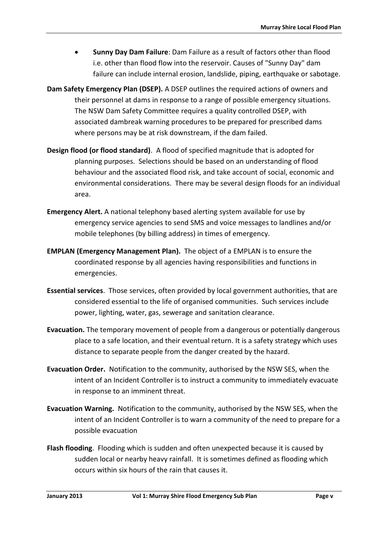- **Sunny Day Dam Failure**: Dam Failure as a result of factors other than flood i.e. other than flood flow into the reservoir. Causes of "Sunny Day" dam failure can include internal erosion, landslide, piping, earthquake or sabotage.
- **Dam Safety Emergency Plan (DSEP).** A DSEP outlines the required actions of owners and their personnel at dams in response to a range of possible emergency situations. The NSW Dam Safety Committee requires a quality controlled DSEP, with associated dambreak warning procedures to be prepared for prescribed dams where persons may be at risk downstream, if the dam failed.
- **Design flood (or flood standard)**. A flood of specified magnitude that is adopted for planning purposes. Selections should be based on an understanding of flood behaviour and the associated flood risk, and take account of social, economic and environmental considerations. There may be several design floods for an individual area.
- **Emergency Alert.** A national telephony based alerting system available for use by emergency service agencies to send SMS and voice messages to landlines and/or mobile telephones (by billing address) in times of emergency.
- **EMPLAN (Emergency Management Plan).** The object of a EMPLAN is to ensure the coordinated response by all agencies having responsibilities and functions in emergencies.
- **Essential services**. Those services, often provided by local government authorities, that are considered essential to the life of organised communities. Such services include power, lighting, water, gas, sewerage and sanitation clearance.
- **Evacuation.** The temporary movement of people from a dangerous or potentially dangerous place to a safe location, and their eventual return. It is a safety strategy which uses distance to separate people from the danger created by the hazard.
- **Evacuation Order.** Notification to the community, authorised by the NSW SES, when the intent of an Incident Controller is to instruct a community to immediately evacuate in response to an imminent threat.
- **Evacuation Warning.** Notification to the community, authorised by the NSW SES, when the intent of an Incident Controller is to warn a community of the need to prepare for a possible evacuation
- **Flash flooding**. Flooding which is sudden and often unexpected because it is caused by sudden local or nearby heavy rainfall. It is sometimes defined as flooding which occurs within six hours of the rain that causes it.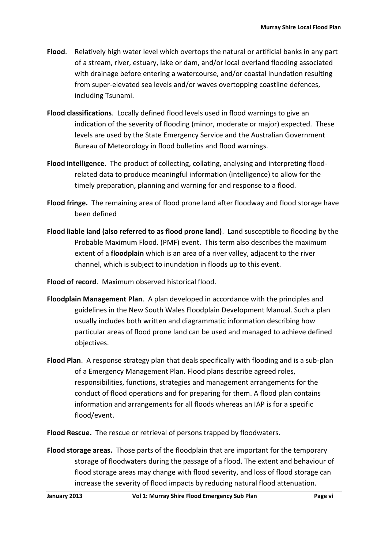- **Flood**. Relatively high water level which overtops the natural or artificial banks in any part of a stream, river, estuary, lake or dam, and/or local overland flooding associated with drainage before entering a watercourse, and/or coastal inundation resulting from super-elevated sea levels and/or waves overtopping coastline defences, including Tsunami.
- **Flood classifications**. Locally defined flood levels used in flood warnings to give an indication of the severity of flooding (minor, moderate or major) expected. These levels are used by the State Emergency Service and the Australian Government Bureau of Meteorology in flood bulletins and flood warnings.
- **Flood intelligence**. The product of collecting, collating, analysing and interpreting floodrelated data to produce meaningful information (intelligence) to allow for the timely preparation, planning and warning for and response to a flood.
- **Flood fringe.** The remaining area of flood prone land after floodway and flood storage have been defined
- **Flood liable land (also referred to as flood prone land)**. Land susceptible to flooding by the Probable Maximum Flood. (PMF) event. This term also describes the maximum extent of a **floodplain** which is an area of a river valley, adjacent to the river channel, which is subject to inundation in floods up to this event.

**Flood of record**. Maximum observed historical flood.

- **Floodplain Management Plan**. A plan developed in accordance with the principles and guidelines in the New South Wales Floodplain Development Manual. Such a plan usually includes both written and diagrammatic information describing how particular areas of flood prone land can be used and managed to achieve defined objectives.
- **Flood Plan**. A response strategy plan that deals specifically with flooding and is a sub-plan of a Emergency Management Plan. Flood plans describe agreed roles, responsibilities, functions, strategies and management arrangements for the conduct of flood operations and for preparing for them. A flood plan contains information and arrangements for all floods whereas an IAP is for a specific flood/event.

**Flood Rescue.** The rescue or retrieval of persons trapped by floodwaters.

**Flood storage areas.** Those parts of the floodplain that are important for the temporary storage of floodwaters during the passage of a flood. The extent and behaviour of flood storage areas may change with flood severity, and loss of flood storage can increase the severity of flood impacts by reducing natural flood attenuation.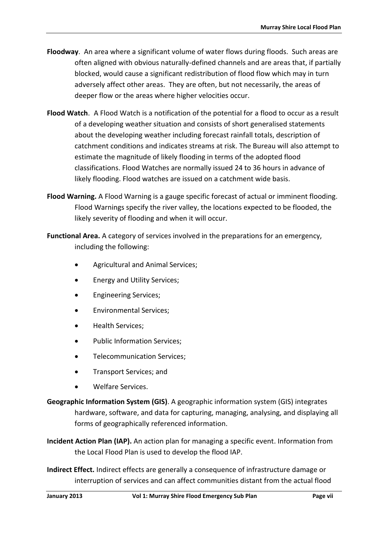- **Floodway**. An area where a significant volume of water flows during floods. Such areas are often aligned with obvious naturally-defined channels and are areas that, if partially blocked, would cause a significant redistribution of flood flow which may in turn adversely affect other areas. They are often, but not necessarily, the areas of deeper flow or the areas where higher velocities occur.
- **Flood Watch**. A Flood Watch is a notification of the potential for a flood to occur as a result of a developing weather situation and consists of short generalised statements about the developing weather including forecast rainfall totals, description of catchment conditions and indicates streams at risk. The Bureau will also attempt to estimate the magnitude of likely flooding in terms of the adopted flood classifications. Flood Watches are normally issued 24 to 36 hours in advance of likely flooding. Flood watches are issued on a catchment wide basis.
- **Flood Warning.** A Flood Warning is a gauge specific forecast of actual or imminent flooding. Flood Warnings specify the river valley, the locations expected to be flooded, the likely severity of flooding and when it will occur.
- **Functional Area.** A category of services involved in the preparations for an emergency, including the following:
	- Agricultural and Animal Services;
	- Energy and Utility Services;
	- Engineering Services;
	- Environmental Services;
	- Health Services;
	- Public Information Services;
	- Telecommunication Services;
	- Transport Services; and
	- Welfare Services.
- **Geographic Information System (GIS)**. A geographic information system (GIS) integrates hardware, software, and data for capturing, managing, analysing, and displaying all forms of geographically referenced information.
- **Incident Action Plan (IAP).** An action plan for managing a specific event. Information from the Local Flood Plan is used to develop the flood IAP.
- **Indirect Effect.** Indirect effects are generally a consequence of infrastructure damage or interruption of services and can affect communities distant from the actual flood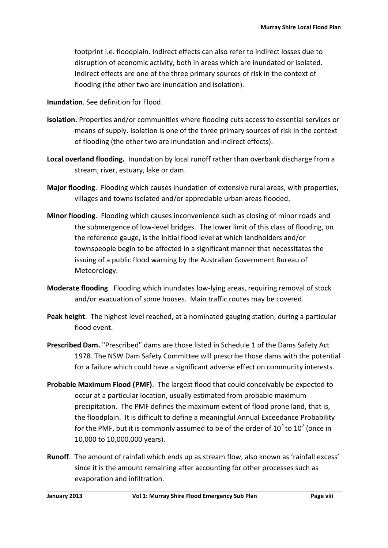footprint i.e. floodplain. Indirect effects can also refer to indirect losses due to disruption of economic activity, both in areas which are inundated or isolated. Indirect effects are one of the three primary sources of risk in the context of flooding (the other two are inundation and isolation).

**Inundation**. See definition for Flood.

- **Isolation.** Properties and/or communities where flooding cuts access to essential services or means of supply. Isolation is one of the three primary sources of risk in the context of flooding (the other two are inundation and indirect effects).
- **Local overland flooding.** Inundation by local runoff rather than overbank discharge from a stream, river, estuary, lake or dam.
- **Major flooding**. Flooding which causes inundation of extensive rural areas, with properties, villages and towns isolated and/or appreciable urban areas flooded.
- **Minor flooding**. Flooding which causes inconvenience such as closing of minor roads and the submergence of low-level bridges. The lower limit of this class of flooding, on the reference gauge, is the initial flood level at which landholders and/or townspeople begin to be affected in a significant manner that necessitates the issuing of a public flood warning by the Australian Government Bureau of Meteorology.
- **Moderate flooding**. Flooding which inundates low-lying areas, requiring removal of stock and/or evacuation of some houses. Main traffic routes may be covered.
- **Peak height**. The highest level reached, at a nominated gauging station, during a particular flood event.
- **Prescribed Dam.** "Prescribed" dams are those listed in Schedule 1 of the Dams Safety Act 1978. The NSW Dam Safety Committee will prescribe those dams with the potential for a failure which could have a significant adverse effect on community interests.
- **Probable Maximum Flood (PMF)**. The largest flood that could conceivably be expected to occur at a particular location, usually estimated from probable maximum precipitation. The PMF defines the maximum extent of flood prone land, that is, the floodplain. It is difficult to define a meaningful Annual Exceedance Probability for the PMF, but it is commonly assumed to be of the order of  $10^4$  to  $10^7$  (once in 10,000 to 10,000,000 years).
- **Runoff**. The amount of rainfall which ends up as stream flow, also known as 'rainfall excess' since it is the amount remaining after accounting for other processes such as evaporation and infiltration.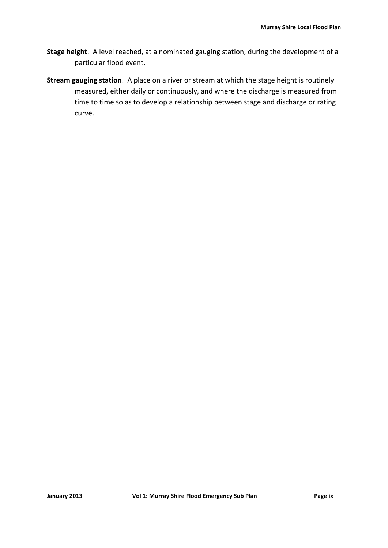- **Stage height**. A level reached, at a nominated gauging station, during the development of a particular flood event.
- **Stream gauging station**. A place on a river or stream at which the stage height is routinely measured, either daily or continuously, and where the discharge is measured from time to time so as to develop a relationship between stage and discharge or rating curve.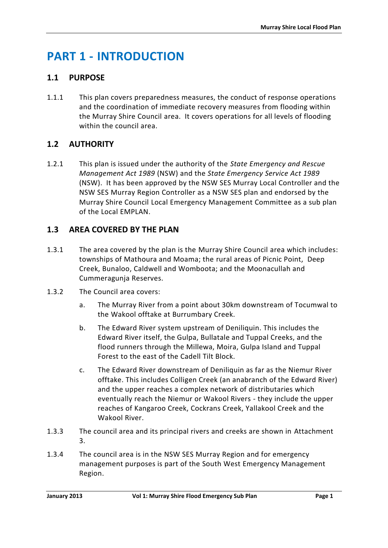# <span id="page-14-0"></span>**PART 1 - INTRODUCTION**

### <span id="page-14-1"></span>**1.1 PURPOSE**

1.1.1 This plan covers preparedness measures, the conduct of response operations and the coordination of immediate recovery measures from flooding within the Murray Shire Council area. It covers operations for all levels of flooding within the council area.

### <span id="page-14-2"></span>**1.2 AUTHORITY**

1.2.1 This plan is issued under the authority of the *State Emergency and Rescue Management Act 1989* (NSW) and the *State Emergency Service Act 1989* (NSW). It has been approved by the NSW SES Murray Local Controller and the NSW SES Murray Region Controller as a NSW SES plan and endorsed by the Murray Shire Council Local Emergency Management Committee as a sub plan of the Local EMPLAN.

### <span id="page-14-3"></span>**1.3 AREA COVERED BY THE PLAN**

- 1.3.1 The area covered by the plan is the Murray Shire Council area which includes: townships of Mathoura and Moama; the rural areas of Picnic Point, Deep Creek, Bunaloo, Caldwell and Womboota; and the Moonacullah and Cummeragunja Reserves.
- 1.3.2 The Council area covers:
	- a. The Murray River from a point about 30km downstream of Tocumwal to the Wakool offtake at Burrumbary Creek.
	- b. The Edward River system upstream of Deniliquin. This includes the Edward River itself, the Gulpa, Bullatale and Tuppal Creeks, and the flood runners through the Millewa, Moira, Gulpa Island and Tuppal Forest to the east of the Cadell Tilt Block.
	- c. The Edward River downstream of Deniliquin as far as the Niemur River offtake. This includes Colligen Creek (an anabranch of the Edward River) and the upper reaches a complex network of distributaries which eventually reach the Niemur or Wakool Rivers - they include the upper reaches of Kangaroo Creek, Cockrans Creek, Yallakool Creek and the Wakool River.
- 1.3.3 The council area and its principal rivers and creeks are shown in Attachment 3.
- 1.3.4 The council area is in the NSW SES Murray Region and for emergency management purposes is part of the South West Emergency Management Region.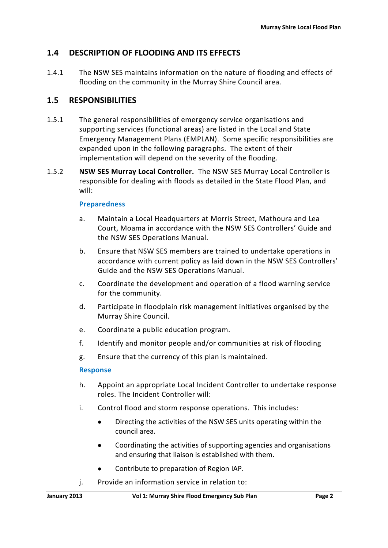### <span id="page-15-0"></span>**1.4 DESCRIPTION OF FLOODING AND ITS EFFECTS**

1.4.1 The NSW SES maintains information on the nature of flooding and effects of flooding on the community in the Murray Shire Council area.

### <span id="page-15-1"></span>**1.5 RESPONSIBILITIES**

- 1.5.1 The general responsibilities of emergency service organisations and supporting services (functional areas) are listed in the Local and State Emergency Management Plans (EMPLAN). Some specific responsibilities are expanded upon in the following paragraphs. The extent of their implementation will depend on the severity of the flooding.
- 1.5.2 **NSW SES Murray Local Controller.** The NSW SES Murray Local Controller is responsible for dealing with floods as detailed in the State Flood Plan, and will:

#### **Preparedness**

- a. Maintain a Local Headquarters at Morris Street, Mathoura and Lea Court, Moama in accordance with the NSW SES Controllers' Guide and the NSW SES Operations Manual.
- b. Ensure that NSW SES members are trained to undertake operations in accordance with current policy as laid down in the NSW SES Controllers' Guide and the NSW SES Operations Manual.
- c. Coordinate the development and operation of a flood warning service for the community.
- d. Participate in floodplain risk management initiatives organised by the Murray Shire Council.
- e. Coordinate a public education program.
- f. Identify and monitor people and/or communities at risk of flooding
- g. Ensure that the currency of this plan is maintained.

#### **Response**

- h. Appoint an appropriate Local Incident Controller to undertake response roles. The Incident Controller will:
- i. Control flood and storm response operations. This includes:
	- Directing the activities of the NSW SES units operating within the council area.
	- Coordinating the activities of supporting agencies and organisations and ensuring that liaison is established with them.
	- Contribute to preparation of Region IAP.
- j. Provide an information service in relation to: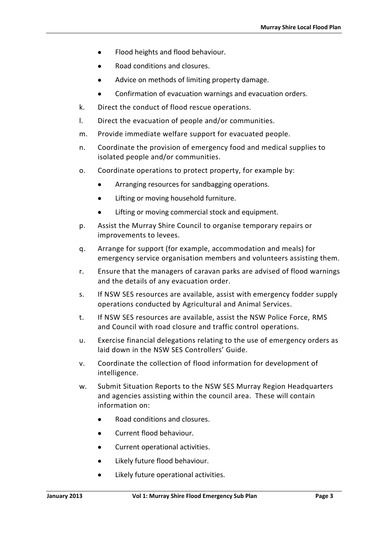- Flood heights and flood behaviour.
- Road conditions and closures.
- Advice on methods of limiting property damage.
- Confirmation of evacuation warnings and evacuation orders.
- k. Direct the conduct of flood rescue operations.
- l. Direct the evacuation of people and/or communities.
- m. Provide immediate welfare support for evacuated people.
- n. Coordinate the provision of emergency food and medical supplies to isolated people and/or communities.
- o. Coordinate operations to protect property, for example by:
	- Arranging resources for sandbagging operations.
	- **•** Lifting or moving household furniture.
	- Lifting or moving commercial stock and equipment.
- p. Assist the Murray Shire Council to organise temporary repairs or improvements to levees.
- q. Arrange for support (for example, accommodation and meals) for emergency service organisation members and volunteers assisting them.
- r. Ensure that the managers of caravan parks are advised of flood warnings and the details of any evacuation order.
- s. If NSW SES resources are available, assist with emergency fodder supply operations conducted by Agricultural and Animal Services.
- t. If NSW SES resources are available, assist the NSW Police Force, RMS and Council with road closure and traffic control operations.
- u. Exercise financial delegations relating to the use of emergency orders as laid down in the NSW SES Controllers' Guide.
- v. Coordinate the collection of flood information for development of intelligence.
- w. Submit Situation Reports to the NSW SES Murray Region Headquarters and agencies assisting within the council area. These will contain information on:
	- Road conditions and closures.
	- Current flood behaviour.
	- Current operational activities.
	- Likely future flood behaviour.
	- Likely future operational activities.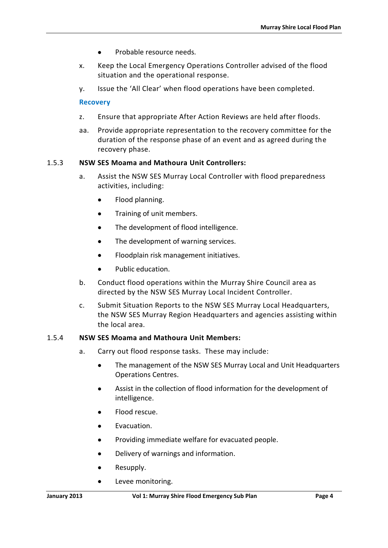- Probable resource needs.
- x. Keep the Local Emergency Operations Controller advised of the flood situation and the operational response.
- y. Issue the 'All Clear' when flood operations have been completed.

#### **Recovery**

- z. Ensure that appropriate After Action Reviews are held after floods.
- aa. Provide appropriate representation to the recovery committee for the duration of the response phase of an event and as agreed during the recovery phase.

#### 1.5.3 **NSW SES Moama and Mathoura Unit Controllers:**

- a. Assist the NSW SES Murray Local Controller with flood preparedness activities, including:
	- Flood planning.
	- **•** Training of unit members.
	- The development of flood intelligence.
	- The development of warning services.
	- Floodplain risk management initiatives.
	- Public education.
- b. Conduct flood operations within the Murray Shire Council area as directed by the NSW SES Murray Local Incident Controller.
- c. Submit Situation Reports to the NSW SES Murray Local Headquarters, the NSW SES Murray Region Headquarters and agencies assisting within the local area.

#### 1.5.4 **NSW SES Moama and Mathoura Unit Members:**

- a. Carry out flood response tasks. These may include:
	- The management of the NSW SES Murray Local and Unit Headquarters Operations Centres.
	- Assist in the collection of flood information for the development of intelligence.
	- Flood rescue.
	- $\bullet$  Evacuation.
	- Providing immediate welfare for evacuated people.
	- Delivery of warnings and information.
	- Resupply.
	- **•** Levee monitoring.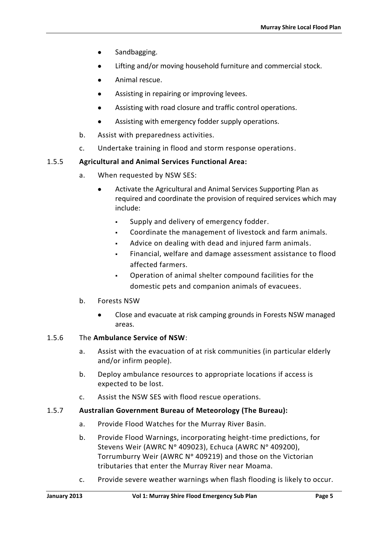- Sandbagging.
- Lifting and/or moving household furniture and commercial stock.
- Animal rescue.
- Assisting in repairing or improving levees.
- Assisting with road closure and traffic control operations.
- Assisting with emergency fodder supply operations.
- b. Assist with preparedness activities.
- c. Undertake training in flood and storm response operations.

### 1.5.5 **Agricultural and Animal Services Functional Area:**

- a. When requested by NSW SES:
	- Activate the Agricultural and Animal Services Supporting Plan as required and coordinate the provision of required services which may include:
		- Supply and delivery of emergency fodder.
		- Coordinate the management of livestock and farm animals.
		- Advice on dealing with dead and injured farm animals.
		- Financial, welfare and damage assessment assistance to flood affected farmers.
		- Operation of animal shelter compound facilities for the domestic pets and companion animals of evacuees.
- b. Forests NSW
	- Close and evacuate at risk camping grounds in Forests NSW managed areas.

### 1.5.6 The **Ambulance Service of NSW**:

- a. Assist with the evacuation of at risk communities (in particular elderly and/or infirm people).
- b. Deploy ambulance resources to appropriate locations if access is expected to be lost.
- c. Assist the NSW SES with flood rescue operations.

### 1.5.7 **Australian Government Bureau of Meteorology (The Bureau):**

- a. Provide Flood Watches for the Murray River Basin.
- b. Provide Flood Warnings, incorporating height-time predictions, for Stevens Weir (AWRC N° 409023), Echuca (AWRC N° 409200), Torrumburry Weir (AWRC N° 409219) and those on the Victorian tributaries that enter the Murray River near Moama.
- c. Provide severe weather warnings when flash flooding is likely to occur.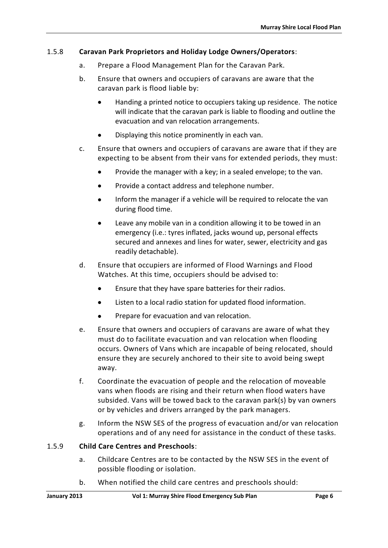### 1.5.8 **Caravan Park Proprietors and Holiday Lodge Owners/Operators**:

- a. Prepare a Flood Management Plan for the Caravan Park.
- b. Ensure that owners and occupiers of caravans are aware that the caravan park is flood liable by:
	- Handing a printed notice to occupiers taking up residence. The notice will indicate that the caravan park is liable to flooding and outline the evacuation and van relocation arrangements.
	- Displaying this notice prominently in each van.
- c. Ensure that owners and occupiers of caravans are aware that if they are expecting to be absent from their vans for extended periods, they must:
	- Provide the manager with a key; in a sealed envelope; to the van.
	- Provide a contact address and telephone number.
	- Inform the manager if a vehicle will be required to relocate the van during flood time.
	- Leave any mobile van in a condition allowing it to be towed in an emergency (i.e.: tyres inflated, jacks wound up, personal effects secured and annexes and lines for water, sewer, electricity and gas readily detachable).
- d. Ensure that occupiers are informed of Flood Warnings and Flood Watches. At this time, occupiers should be advised to:
	- Ensure that they have spare batteries for their radios.
	- Listen to a local radio station for updated flood information.
	- Prepare for evacuation and van relocation.
- e. Ensure that owners and occupiers of caravans are aware of what they must do to facilitate evacuation and van relocation when flooding occurs. Owners of Vans which are incapable of being relocated, should ensure they are securely anchored to their site to avoid being swept away.
- f. Coordinate the evacuation of people and the relocation of moveable vans when floods are rising and their return when flood waters have subsided. Vans will be towed back to the caravan park(s) by van owners or by vehicles and drivers arranged by the park managers.
- g. Inform the NSW SES of the progress of evacuation and/or van relocation operations and of any need for assistance in the conduct of these tasks.

### 1.5.9 **Child Care Centres and Preschools**:

- a. Childcare Centres are to be contacted by the NSW SES in the event of possible flooding or isolation.
- b. When notified the child care centres and preschools should: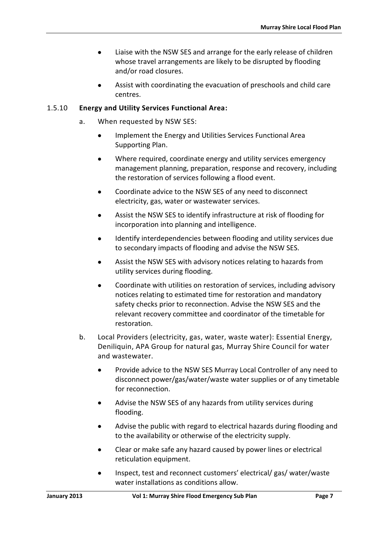- Liaise with the NSW SES and arrange for the early release of children whose travel arrangements are likely to be disrupted by flooding and/or road closures.
- Assist with coordinating the evacuation of preschools and child care centres.

#### 1.5.10 **Energy and Utility Services Functional Area:**

- a. When requested by NSW SES:
	- **Implement the Energy and Utilities Services Functional Area** Supporting Plan.
	- Where required, coordinate energy and utility services emergency management planning, preparation, response and recovery, including the restoration of services following a flood event.
	- Coordinate advice to the NSW SES of any need to disconnect electricity, gas, water or wastewater services.
	- Assist the NSW SES to identify infrastructure at risk of flooding for incorporation into planning and intelligence.
	- Identify interdependencies between flooding and utility services due to secondary impacts of flooding and advise the NSW SES.
	- Assist the NSW SES with advisory notices relating to hazards from utility services during flooding.
	- Coordinate with utilities on restoration of services, including advisory notices relating to estimated time for restoration and mandatory safety checks prior to reconnection. Advise the NSW SES and the relevant recovery committee and coordinator of the timetable for restoration.
- b. Local Providers (electricity, gas, water, waste water): Essential Energy, Deniliquin, APA Group for natural gas, Murray Shire Council for water and wastewater.
	- Provide advice to the NSW SES Murray Local Controller of any need to disconnect power/gas/water/waste water supplies or of any timetable for reconnection.
	- Advise the NSW SES of any hazards from utility services during flooding.
	- Advise the public with regard to electrical hazards during flooding and to the availability or otherwise of the electricity supply.
	- Clear or make safe any hazard caused by power lines or electrical reticulation equipment.
	- Inspect, test and reconnect customers' electrical/ gas/ water/waste water installations as conditions allow.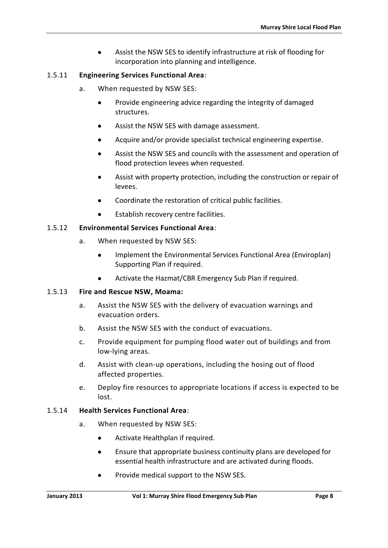Assist the NSW SES to identify infrastructure at risk of flooding for incorporation into planning and intelligence.

### 1.5.11 **Engineering Services Functional Area**:

- a. When requested by NSW SES:
	- Provide engineering advice regarding the integrity of damaged structures.
	- Assist the NSW SES with damage assessment.
	- Acquire and/or provide specialist technical engineering expertise.
	- Assist the NSW SES and councils with the assessment and operation of flood protection levees when requested.
	- Assist with property protection, including the construction or repair of levees.
	- Coordinate the restoration of critical public facilities.
	- Establish recovery centre facilities.

### 1.5.12 **Environmental Services Functional Area**:

- a. When requested by NSW SES:
	- Implement the Environmental Services Functional Area (Enviroplan) Supporting Plan if required.
	- Activate the Hazmat/CBR Emergency Sub Plan if required.

### 1.5.13 **Fire and Rescue NSW, Moama:**

- a. Assist the NSW SES with the delivery of evacuation warnings and evacuation orders.
- b. Assist the NSW SES with the conduct of evacuations.
- c. Provide equipment for pumping flood water out of buildings and from low-lying areas.
- d. Assist with clean-up operations, including the hosing out of flood affected properties.
- e. Deploy fire resources to appropriate locations if access is expected to be lost.

### 1.5.14 **Health Services Functional Area**:

- a. When requested by NSW SES:
	- Activate Healthplan if required.
	- Ensure that appropriate business continuity plans are developed for essential health infrastructure and are activated during floods.
	- Provide medical support to the NSW SES.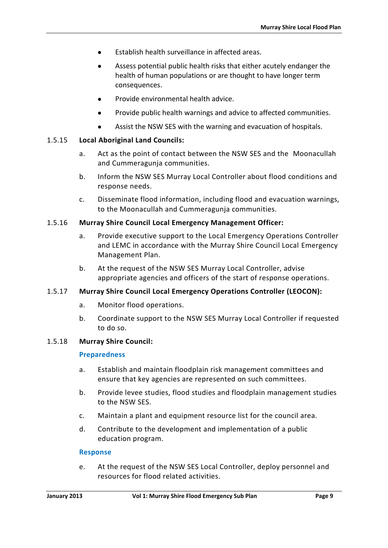- Establish health surveillance in affected areas.
- Assess potential public health risks that either acutely endanger the health of human populations or are thought to have longer term consequences.
- Provide environmental health advice.
- Provide public health warnings and advice to affected communities.
- Assist the NSW SES with the warning and evacuation of hospitals.

### 1.5.15 **Local Aboriginal Land Councils:**

- a. Act as the point of contact between the NSW SES and the Moonacullah and Cummeragunja communities.
- b. Inform the NSW SES Murray Local Controller about flood conditions and response needs.
- c. Disseminate flood information, including flood and evacuation warnings, to the Moonacullah and Cummeragunja communities.

#### 1.5.16 **Murray Shire Council Local Emergency Management Officer:**

- a. Provide executive support to the Local Emergency Operations Controller and LEMC in accordance with the Murray Shire Council Local Emergency Management Plan.
- b. At the request of the NSW SES Murray Local Controller, advise appropriate agencies and officers of the start of response operations.

### 1.5.17 **Murray Shire Council Local Emergency Operations Controller (LEOCON):**

- a. Monitor flood operations.
- b. Coordinate support to the NSW SES Murray Local Controller if requested to do so.

#### 1.5.18 **Murray Shire Council:**

#### **Preparedness**

- a. Establish and maintain floodplain risk management committees and ensure that key agencies are represented on such committees.
- b. Provide levee studies, flood studies and floodplain management studies to the NSW SES.
- c. Maintain a plant and equipment resource list for the council area.
- d. Contribute to the development and implementation of a public education program.

#### **Response**

e. At the request of the NSW SES Local Controller, deploy personnel and resources for flood related activities.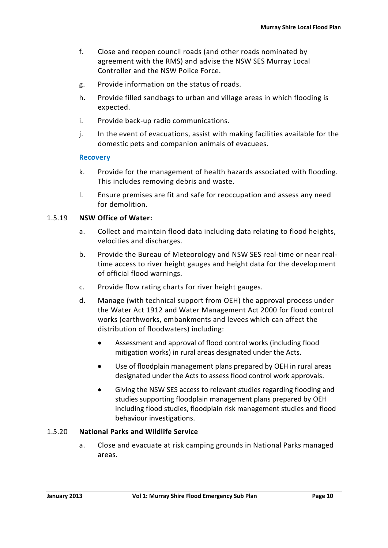- f. Close and reopen council roads (and other roads nominated by agreement with the RMS) and advise the NSW SES Murray Local Controller and the NSW Police Force.
- g. Provide information on the status of roads.
- h. Provide filled sandbags to urban and village areas in which flooding is expected.
- i. Provide back-up radio communications.
- j. In the event of evacuations, assist with making facilities available for the domestic pets and companion animals of evacuees.

#### **Recovery**

- k. Provide for the management of health hazards associated with flooding. This includes removing debris and waste.
- l. Ensure premises are fit and safe for reoccupation and assess any need for demolition.

#### 1.5.19 **NSW Office of Water:**

- a. Collect and maintain flood data including data relating to flood heights, velocities and discharges.
- b. Provide the Bureau of Meteorology and NSW SES real-time or near realtime access to river height gauges and height data for the development of official flood warnings.
- c. Provide flow rating charts for river height gauges.
- d. Manage (with technical support from OEH) the approval process under the Water Act 1912 and Water Management Act 2000 for flood control works (earthworks, embankments and levees which can affect the distribution of floodwaters) including:
	- Assessment and approval of flood control works (including flood mitigation works) in rural areas designated under the Acts.
	- Use of floodplain management plans prepared by OEH in rural areas designated under the Acts to assess flood control work approvals.
	- Giving the NSW SES access to relevant studies regarding flooding and studies supporting floodplain management plans prepared by OEH including flood studies, floodplain risk management studies and flood behaviour investigations.

#### 1.5.20 **National Parks and Wildlife Service**

a. Close and evacuate at risk camping grounds in National Parks managed areas.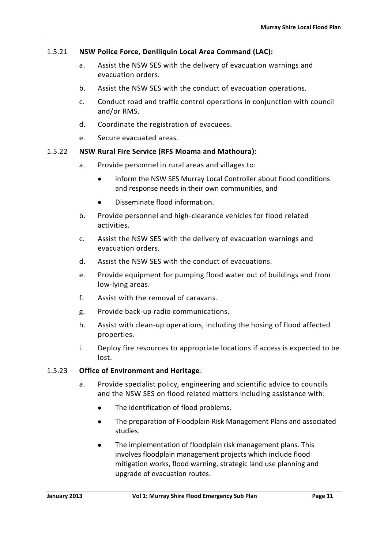### 1.5.21 **NSW Police Force, Deniliquin Local Area Command (LAC):**

- a. Assist the NSW SES with the delivery of evacuation warnings and evacuation orders.
- b. Assist the NSW SES with the conduct of evacuation operations.
- c. Conduct road and traffic control operations in conjunction with council and/or RMS.
- d. Coordinate the registration of evacuees.
- e. Secure evacuated areas.

#### 1.5.22 **NSW Rural Fire Service (RFS Moama and Mathoura):**

- a. Provide personnel in rural areas and villages to:
	- inform the NSW SES Murray Local Controller about flood conditions and response needs in their own communities, and
	- Disseminate flood information.
- b. Provide personnel and high-clearance vehicles for flood related activities.
- c. Assist the NSW SES with the delivery of evacuation warnings and evacuation orders.
- d. Assist the NSW SES with the conduct of evacuations.
- e. Provide equipment for pumping flood water out of buildings and from low-lying areas.
- f. Assist with the removal of caravans.
- g. Provide back-up radio communications.
- h. Assist with clean-up operations, including the hosing of flood affected properties.
- i. Deploy fire resources to appropriate locations if access is expected to be lost.

#### 1.5.23 **Office of Environment and Heritage**:

- a. Provide specialist policy, engineering and scientific advice to councils and the NSW SES on flood related matters including assistance with:
	- The identification of flood problems.
	- The preparation of Floodplain Risk Management Plans and associated studies.
	- The implementation of floodplain risk management plans. This involves floodplain management projects which include flood mitigation works, flood warning, strategic land use planning and upgrade of evacuation routes.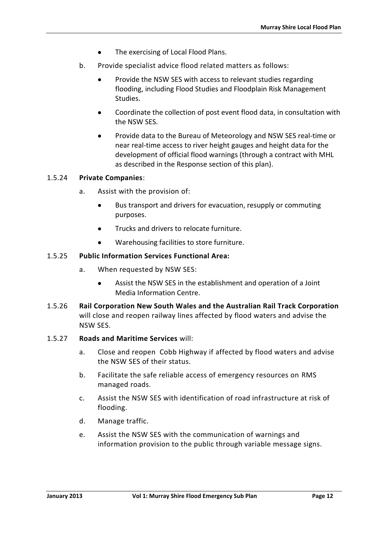- The exercising of Local Flood Plans.
- b. Provide specialist advice flood related matters as follows:
	- Provide the NSW SES with access to relevant studies regarding flooding, including Flood Studies and Floodplain Risk Management Studies.
	- Coordinate the collection of post event flood data, in consultation with the NSW SES.
	- Provide data to the Bureau of Meteorology and NSW SES real-time or near real-time access to river height gauges and height data for the development of official flood warnings (through a contract with MHL as described in the Response section of this plan).

#### 1.5.24 **Private Companies**:

- a. Assist with the provision of:
	- Bus transport and drivers for evacuation, resupply or commuting purposes.
	- Trucks and drivers to relocate furniture.
	- Warehousing facilities to store furniture.

#### 1.5.25 **Public Information Services Functional Area:**

- a. When requested by NSW SES:
	- Assist the NSW SES in the establishment and operation of a Joint Media Information Centre.
- 1.5.26 **Rail Corporation New South Wales and the Australian Rail Track Corporation**  will close and reopen railway lines affected by flood waters and advise the NSW SES.

#### 1.5.27 **Roads and Maritime Services** will:

- a. Close and reopen Cobb Highway if affected by flood waters and advise the NSW SES of their status.
- b. Facilitate the safe reliable access of emergency resources on RMS managed roads.
- c. Assist the NSW SES with identification of road infrastructure at risk of flooding.
- d. Manage traffic.
- e. Assist the NSW SES with the communication of warnings and information provision to the public through variable message signs.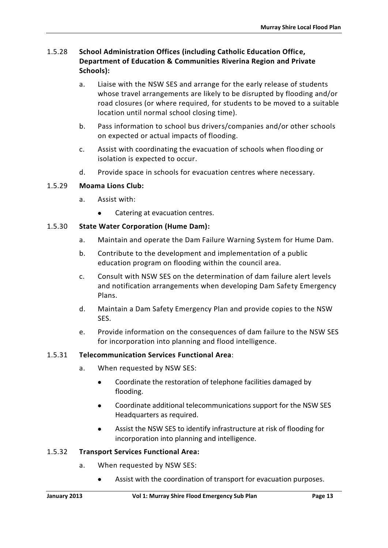### 1.5.28 **School Administration Offices (including Catholic Education Office, Department of Education & Communities Riverina Region and Private Schools):**

- a. Liaise with the NSW SES and arrange for the early release of students whose travel arrangements are likely to be disrupted by flooding and/or road closures (or where required, for students to be moved to a suitable location until normal school closing time).
- b. Pass information to school bus drivers/companies and/or other schools on expected or actual impacts of flooding.
- c. Assist with coordinating the evacuation of schools when flooding or isolation is expected to occur.
- d. Provide space in schools for evacuation centres where necessary.

### 1.5.29 **Moama Lions Club:**

- a. Assist with:
	- Catering at evacuation centres.

### 1.5.30 **State Water Corporation (Hume Dam):**

- a. Maintain and operate the Dam Failure Warning System for Hume Dam.
- b. Contribute to the development and implementation of a public education program on flooding within the council area.
- c. Consult with NSW SES on the determination of dam failure alert levels and notification arrangements when developing Dam Safety Emergency Plans.
- d. Maintain a Dam Safety Emergency Plan and provide copies to the NSW SES.
- e. Provide information on the consequences of dam failure to the NSW SES for incorporation into planning and flood intelligence.

### 1.5.31 **Telecommunication Services Functional Area**:

- a. When requested by NSW SES:
	- Coordinate the restoration of telephone facilities damaged by flooding.
	- Coordinate additional telecommunications support for the NSW SES Headquarters as required.
	- Assist the NSW SES to identify infrastructure at risk of flooding for incorporation into planning and intelligence.

#### 1.5.32 **Transport Services Functional Area:**

- a. When requested by NSW SES:
	- Assist with the coordination of transport for evacuation purposes.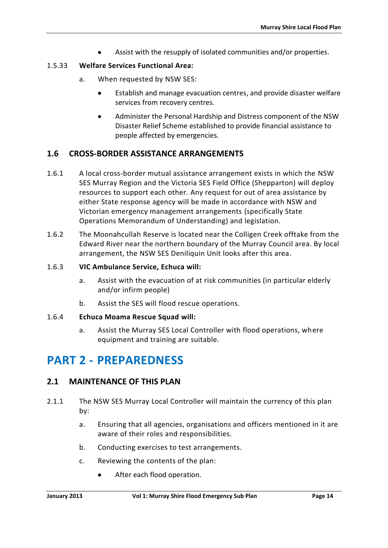Assist with the resupply of isolated communities and/or properties.

### 1.5.33 **Welfare Services Functional Area:**

- a. When requested by NSW SES:
	- Establish and manage evacuation centres, and provide disaster welfare services from recovery centres.
	- Administer the Personal Hardship and Distress component of the NSW Disaster Relief Scheme established to provide financial assistance to people affected by emergencies.

### <span id="page-27-0"></span>**1.6 CROSS-BORDER ASSISTANCE ARRANGEMENTS**

- 1.6.1 A local cross-border mutual assistance arrangement exists in which the NSW SES Murray Region and the Victoria SES Field Office (Shepparton) will deploy resources to support each other. Any request for out of area assistance by either State response agency will be made in accordance with NSW and Victorian emergency management arrangements (specifically State Operations Memorandum of Understanding) and legislation.
- 1.6.2 The Moonahcullah Reserve is located near the Colligen Creek offtake from the Edward River near the northern boundary of the Murray Council area. By local arrangement, the NSW SES Deniliquin Unit looks after this area.

### 1.6.3 **VIC Ambulance Service, Echuca will:**

- a. Assist with the evacuation of at risk communities (in particular elderly and/or infirm people)
- b. Assist the SES will flood rescue operations.

### 1.6.4 **Echuca Moama Rescue Squad will:**

a. Assist the Murray SES Local Controller with flood operations, where equipment and training are suitable.

# <span id="page-27-1"></span>**PART 2 - PREPAREDNESS**

### <span id="page-27-2"></span>**2.1 MAINTENANCE OF THIS PLAN**

- 2.1.1 The NSW SES Murray Local Controller will maintain the currency of this plan by:
	- a. Ensuring that all agencies, organisations and officers mentioned in it are aware of their roles and responsibilities.
	- b. Conducting exercises to test arrangements.
	- c. Reviewing the contents of the plan:
		- After each flood operation.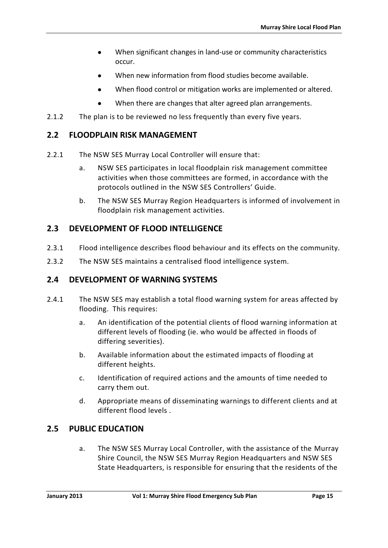- When significant changes in land-use or community characteristics occur.
- When new information from flood studies become available.
- When flood control or mitigation works are implemented or altered.
- When there are changes that alter agreed plan arrangements.
- 2.1.2 The plan is to be reviewed no less frequently than every five years.

### <span id="page-28-0"></span>**2.2 FLOODPLAIN RISK MANAGEMENT**

- 2.2.1 The NSW SES Murray Local Controller will ensure that:
	- a. NSW SES participates in local floodplain risk management committee activities when those committees are formed, in accordance with the protocols outlined in the NSW SES Controllers' Guide.
	- b. The NSW SES Murray Region Headquarters is informed of involvement in floodplain risk management activities.

### <span id="page-28-1"></span>**2.3 DEVELOPMENT OF FLOOD INTELLIGENCE**

- 2.3.1 Flood intelligence describes flood behaviour and its effects on the community.
- 2.3.2 The NSW SES maintains a centralised flood intelligence system.

### <span id="page-28-2"></span>**2.4 DEVELOPMENT OF WARNING SYSTEMS**

- 2.4.1 The NSW SES may establish a total flood warning system for areas affected by flooding. This requires:
	- a. An identification of the potential clients of flood warning information at different levels of flooding (ie. who would be affected in floods of differing severities).
	- b. Available information about the estimated impacts of flooding at different heights.
	- c. Identification of required actions and the amounts of time needed to carry them out.
	- d. Appropriate means of disseminating warnings to different clients and at different flood levels .

### <span id="page-28-3"></span>**2.5 PUBLIC EDUCATION**

a. The NSW SES Murray Local Controller, with the assistance of the Murray Shire Council, the NSW SES Murray Region Headquarters and NSW SES State Headquarters, is responsible for ensuring that the residents of the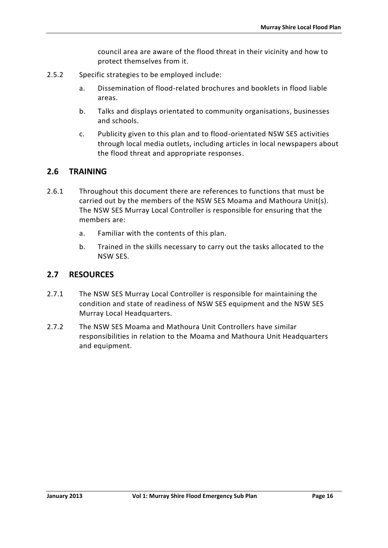council area are aware of the flood threat in their vicinity and how to protect themselves from it.

- 2.5.2 Specific strategies to be employed include:
	- a. Dissemination of flood-related brochures and booklets in flood liable areas.
	- b. Talks and displays orientated to community organisations, businesses and schools.
	- c. Publicity given to this plan and to flood-orientated NSW SES activities through local media outlets, including articles in local newspapers about the flood threat and appropriate responses.

### <span id="page-29-0"></span>**2.6 TRAINING**

- 2.6.1 Throughout this document there are references to functions that must be carried out by the members of the NSW SES Moama and Mathoura Unit(s). The NSW SES Murray Local Controller is responsible for ensuring that the members are:
	- a. Familiar with the contents of this plan.
	- b. Trained in the skills necessary to carry out the tasks allocated to the NSW SES.

### <span id="page-29-1"></span>**2.7 RESOURCES**

- 2.7.1 The NSW SES Murray Local Controller is responsible for maintaining the condition and state of readiness of NSW SES equipment and the NSW SES Murray Local Headquarters.
- 2.7.2 The NSW SES Moama and Mathoura Unit Controllers have similar responsibilities in relation to the Moama and Mathoura Unit Headquarters and equipment.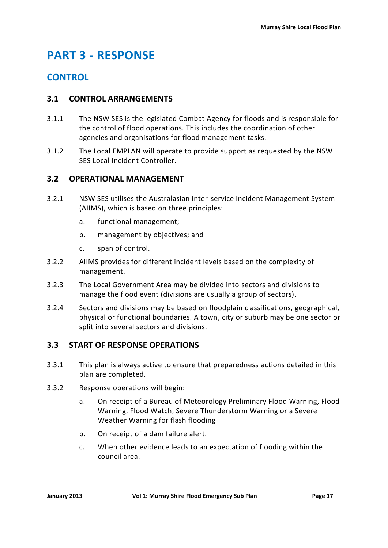# <span id="page-30-0"></span>**PART 3 - RESPONSE**

### **CONTROL**

### <span id="page-30-1"></span>**3.1 CONTROL ARRANGEMENTS**

- 3.1.1 The NSW SES is the legislated Combat Agency for floods and is responsible for the control of flood operations. This includes the coordination of other agencies and organisations for flood management tasks.
- 3.1.2 The Local EMPLAN will operate to provide support as requested by the NSW SES Local Incident Controller.

### <span id="page-30-2"></span>**3.2 OPERATIONAL MANAGEMENT**

- 3.2.1 NSW SES utilises the Australasian Inter-service Incident Management System (AIIMS), which is based on three principles:
	- a. functional management;
	- b. management by objectives; and
	- c. span of control.
- 3.2.2 AIIMS provides for different incident levels based on the complexity of management.
- 3.2.3 The Local Government Area may be divided into sectors and divisions to manage the flood event (divisions are usually a group of sectors).
- 3.2.4 Sectors and divisions may be based on floodplain classifications, geographical, physical or functional boundaries. A town, city or suburb may be one sector or split into several sectors and divisions.

### <span id="page-30-3"></span>**3.3 START OF RESPONSE OPERATIONS**

- 3.3.1 This plan is always active to ensure that preparedness actions detailed in this plan are completed.
- 3.3.2 Response operations will begin:
	- a. On receipt of a Bureau of Meteorology Preliminary Flood Warning, Flood Warning, Flood Watch, Severe Thunderstorm Warning or a Severe Weather Warning for flash flooding
	- b. On receipt of a dam failure alert.
	- c. When other evidence leads to an expectation of flooding within the council area.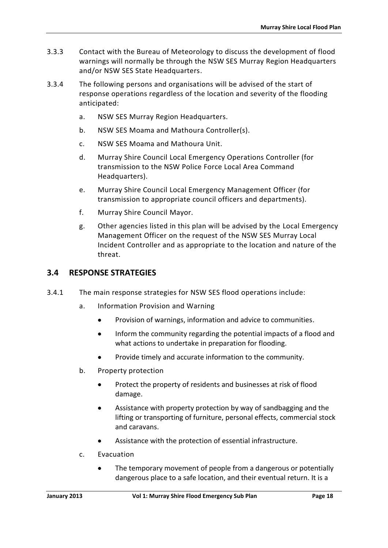- 3.3.3 Contact with the Bureau of Meteorology to discuss the development of flood warnings will normally be through the NSW SES Murray Region Headquarters and/or NSW SES State Headquarters.
- 3.3.4 The following persons and organisations will be advised of the start of response operations regardless of the location and severity of the flooding anticipated:
	- a. NSW SES Murray Region Headquarters.
	- b. NSW SES Moama and Mathoura Controller(s).
	- c. NSW SES Moama and Mathoura Unit.
	- d. Murray Shire Council Local Emergency Operations Controller (for transmission to the NSW Police Force Local Area Command Headquarters).
	- e. Murray Shire Council Local Emergency Management Officer (for transmission to appropriate council officers and departments).
	- f. Murray Shire Council Mayor.
	- g. Other agencies listed in this plan will be advised by the Local Emergency Management Officer on the request of the NSW SES Murray Local Incident Controller and as appropriate to the location and nature of the threat.

### <span id="page-31-0"></span>**3.4 RESPONSE STRATEGIES**

- 3.4.1 The main response strategies for NSW SES flood operations include:
	- a. Information Provision and Warning
		- Provision of warnings, information and advice to communities.
		- Inform the community regarding the potential impacts of a flood and what actions to undertake in preparation for flooding.
		- Provide timely and accurate information to the community.
	- b. Property protection
		- Protect the property of residents and businesses at risk of flood damage.
		- Assistance with property protection by way of sandbagging and the lifting or transporting of furniture, personal effects, commercial stock and caravans.
		- Assistance with the protection of essential infrastructure.
	- c. Evacuation
		- The temporary movement of people from a dangerous or potentially dangerous place to a safe location, and their eventual return. It is a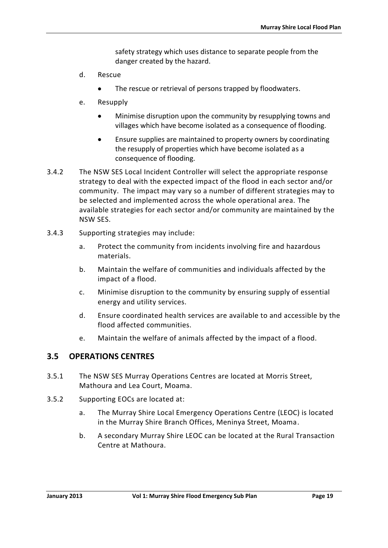safety strategy which uses distance to separate people from the danger created by the hazard.

- d. Rescue
	- The rescue or retrieval of persons trapped by floodwaters.
- e. Resupply
	- Minimise disruption upon the community by resupplying towns and villages which have become isolated as a consequence of flooding.
	- Ensure supplies are maintained to property owners by coordinating the resupply of properties which have become isolated as a consequence of flooding.
- 3.4.2 The NSW SES Local Incident Controller will select the appropriate response strategy to deal with the expected impact of the flood in each sector and/or community. The impact may vary so a number of different strategies may to be selected and implemented across the whole operational area. The available strategies for each sector and/or community are maintained by the NSW SES.
- 3.4.3 Supporting strategies may include:
	- a. Protect the community from incidents involving fire and hazardous materials.
	- b. Maintain the welfare of communities and individuals affected by the impact of a flood.
	- c. Minimise disruption to the community by ensuring supply of essential energy and utility services.
	- d. Ensure coordinated health services are available to and accessible by the flood affected communities.
	- e. Maintain the welfare of animals affected by the impact of a flood.

### <span id="page-32-0"></span>**3.5 OPERATIONS CENTRES**

- 3.5.1 The NSW SES Murray Operations Centres are located at Morris Street, Mathoura and Lea Court, Moama.
- 3.5.2 Supporting EOCs are located at:
	- a. The Murray Shire Local Emergency Operations Centre (LEOC) is located in the Murray Shire Branch Offices, Meninya Street, Moama.
	- b. A secondary Murray Shire LEOC can be located at the Rural Transaction Centre at Mathoura.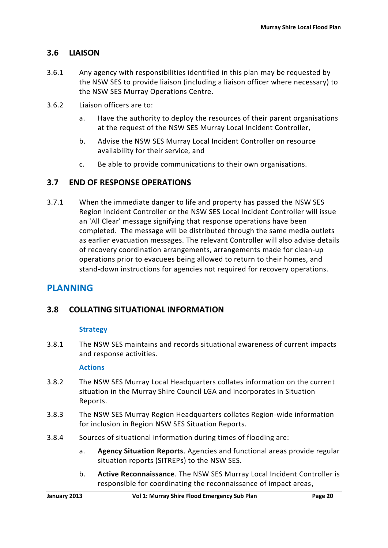### <span id="page-33-0"></span>**3.6 LIAISON**

- 3.6.1 Any agency with responsibilities identified in this plan may be requested by the NSW SES to provide liaison (including a liaison officer where necessary) to the NSW SES Murray Operations Centre.
- 3.6.2 Liaison officers are to:
	- a. Have the authority to deploy the resources of their parent organisations at the request of the NSW SES Murray Local Incident Controller,
	- b. Advise the NSW SES Murray Local Incident Controller on resource availability for their service, and
	- c. Be able to provide communications to their own organisations.

### <span id="page-33-1"></span>**3.7 END OF RESPONSE OPERATIONS**

3.7.1 When the immediate danger to life and property has passed the NSW SES Region Incident Controller or the NSW SES Local Incident Controller will issue an 'All Clear' message signifying that response operations have been completed. The message will be distributed through the same media outlets as earlier evacuation messages. The relevant Controller will also advise details of recovery coordination arrangements, arrangements made for clean-up operations prior to evacuees being allowed to return to their homes, and stand-down instructions for agencies not required for recovery operations.

### **PLANNING**

### <span id="page-33-2"></span>**3.8 COLLATING SITUATIONAL INFORMATION**

#### **Strategy**

3.8.1 The NSW SES maintains and records situational awareness of current impacts and response activities.

#### **Actions**

- 3.8.2 The NSW SES Murray Local Headquarters collates information on the current situation in the Murray Shire Council LGA and incorporates in Situation Reports.
- 3.8.3 The NSW SES Murray Region Headquarters collates Region-wide information for inclusion in Region NSW SES Situation Reports.
- 3.8.4 Sources of situational information during times of flooding are:
	- a. **Agency Situation Reports**. Agencies and functional areas provide regular situation reports (SITREPs) to the NSW SES.
	- b. **Active Reconnaissance**. The NSW SES Murray Local Incident Controller is responsible for coordinating the reconnaissance of impact areas,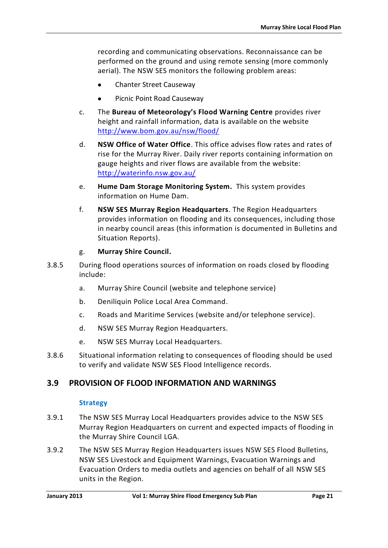recording and communicating observations. Reconnaissance can be performed on the ground and using remote sensing (more commonly aerial). The NSW SES monitors the following problem areas:

- Chanter Street Causeway
- Picnic Point Road Causeway
- c. The **Bureau of Meteorology's Flood Warning Centre** provides river height and rainfall information, data is available on the website <http://www.bom.gov.au/nsw/flood/>
- d. **NSW Office of Water Office**. This office advises flow rates and rates of rise for the Murray River. Daily river reports containing information on gauge heights and river flows are available from the website: <http://waterinfo.nsw.gov.au/>
- e. **Hume Dam Storage Monitoring System.** This system provides information on Hume Dam.
- f. **NSW SES Murray Region Headquarters**. The Region Headquarters provides information on flooding and its consequences, including those in nearby council areas (this information is documented in Bulletins and Situation Reports).

#### g. **Murray Shire Council.**

- 3.8.5 During flood operations sources of information on roads closed by flooding include:
	- a. Murray Shire Council (website and telephone service)
	- b. Deniliquin Police Local Area Command.
	- c. Roads and Maritime Services (website and/or telephone service).
	- d. NSW SES Murray Region Headquarters.
	- e. NSW SES Murray Local Headquarters.
- 3.8.6 Situational information relating to consequences of flooding should be used to verify and validate NSW SES Flood Intelligence records.

### <span id="page-34-0"></span>**3.9 PROVISION OF FLOOD INFORMATION AND WARNINGS**

#### **Strategy**

- 3.9.1 The NSW SES Murray Local Headquarters provides advice to the NSW SES Murray Region Headquarters on current and expected impacts of flooding in the Murray Shire Council LGA.
- 3.9.2 The NSW SES Murray Region Headquarters issues NSW SES Flood Bulletins, NSW SES Livestock and Equipment Warnings, Evacuation Warnings and Evacuation Orders to media outlets and agencies on behalf of all NSW SES units in the Region.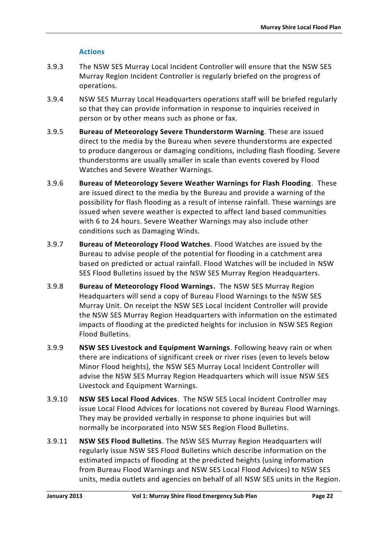### **Actions**

- 3.9.3 The NSW SES Murray Local Incident Controller will ensure that the NSW SES Murray Region Incident Controller is regularly briefed on the progress of operations.
- 3.9.4 NSW SES Murray Local Headquarters operations staff will be briefed regularly so that they can provide information in response to inquiries received in person or by other means such as phone or fax.
- 3.9.5 **Bureau of Meteorology Severe Thunderstorm Warning**. These are issued direct to the media by the Bureau when severe thunderstorms are expected to produce dangerous or damaging conditions, including flash flooding. Severe thunderstorms are usually smaller in scale than events covered by Flood Watches and Severe Weather Warnings.
- 3.9.6 **Bureau of Meteorology Severe Weather Warnings for Flash Flooding**. These are issued direct to the media by the Bureau and provide a warning of the possibility for flash flooding as a result of intense rainfall. These warnings are issued when severe weather is expected to affect land based communities with 6 to 24 hours. Severe Weather Warnings may also include other conditions such as Damaging Winds.
- 3.9.7 **Bureau of Meteorology Flood Watches**. Flood Watches are issued by the Bureau to advise people of the potential for flooding in a catchment area based on predicted or actual rainfall. Flood Watches will be included in NSW SES Flood Bulletins issued by the NSW SES Murray Region Headquarters.
- 3.9.8 **Bureau of Meteorology Flood Warnings.** The NSW SES Murray Region Headquarters will send a copy of Bureau Flood Warnings to the NSW SES Murray Unit. On receipt the NSW SES Local Incident Controller will provide the NSW SES Murray Region Headquarters with information on the estimated impacts of flooding at the predicted heights for inclusion in NSW SES Region Flood Bulletins.
- 3.9.9 **NSW SES Livestock and Equipment Warnings**. Following heavy rain or when there are indications of significant creek or river rises (even to levels below Minor Flood heights), the NSW SES Murray Local Incident Controller will advise the NSW SES Murray Region Headquarters which will issue NSW SES Livestock and Equipment Warnings.
- 3.9.10 **NSW SES Local Flood Advices**. The NSW SES Local Incident Controller may issue Local Flood Advices for locations not covered by Bureau Flood Warnings. They may be provided verbally in response to phone inquiries but will normally be incorporated into NSW SES Region Flood Bulletins.
- 3.9.11 **NSW SES Flood Bulletins**. The NSW SES Murray Region Headquarters will regularly issue NSW SES Flood Bulletins which describe information on the estimated impacts of flooding at the predicted heights (using information from Bureau Flood Warnings and NSW SES Local Flood Advices) to NSW SES units, media outlets and agencies on behalf of all NSW SES units in the Region.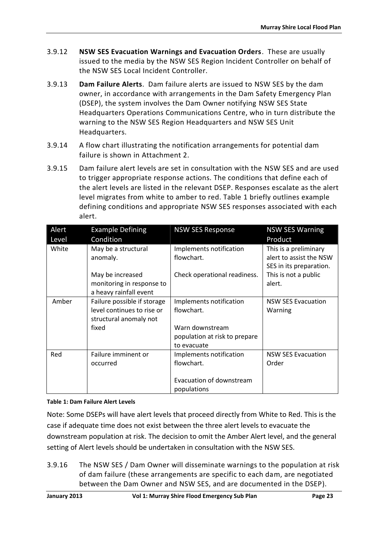- 3.9.12 **NSW SES Evacuation Warnings and Evacuation Orders**. These are usually issued to the media by the NSW SES Region Incident Controller on behalf of the NSW SES Local Incident Controller.
- 3.9.13 **Dam Failure Alerts**. Dam failure alerts are issued to NSW SES by the dam owner, in accordance with arrangements in the Dam Safety Emergency Plan (DSEP), the system involves the Dam Owner notifying NSW SES State Headquarters Operations Communications Centre, who in turn distribute the warning to the NSW SES Region Headquarters and NSW SES Unit Headquarters.
- 3.9.14 A flow chart illustrating the notification arrangements for potential dam failure is shown in Attachment 2.
- 3.9.15 Dam failure alert levels are set in consultation with the NSW SES and are used to trigger appropriate response actions. The conditions that define each of the alert levels are listed in the relevant DSEP. Responses escalate as the alert level migrates from white to amber to red. Table 1 briefly outlines example defining conditions and appropriate NSW SES responses associated with each alert.

| Alert<br>Level | <b>Example Defining</b><br>Condition                                                         | <b>NSW SES Response</b>                                                                         | <b>NSW SES Warning</b><br>Product                                           |
|----------------|----------------------------------------------------------------------------------------------|-------------------------------------------------------------------------------------------------|-----------------------------------------------------------------------------|
| White          | May be a structural<br>anomaly.                                                              | Implements notification<br>flowchart.                                                           | This is a preliminary<br>alert to assist the NSW<br>SES in its preparation. |
|                | May be increased<br>monitoring in response to<br>a heavy rainfall event                      | Check operational readiness.                                                                    | This is not a public<br>alert.                                              |
| Amber          | Failure possible if storage<br>level continues to rise or<br>structural anomaly not<br>fixed | Implements notification<br>flowchart.<br>Warn downstream<br>population at risk to prepare       | <b>NSW SES Evacuation</b><br>Warning                                        |
| Red            | Failure imminent or<br>occurred                                                              | to evacuate<br>Implements notification<br>flowchart.<br>Evacuation of downstream<br>populations | <b>NSW SES Evacuation</b><br>Order                                          |

#### <span id="page-36-0"></span>**Table 1: Dam Failure Alert Levels**

Note: Some DSEPs will have alert levels that proceed directly from White to Red. This is the case if adequate time does not exist between the three alert levels to evacuate the downstream population at risk. The decision to omit the Amber Alert level, and the general setting of Alert levels should be undertaken in consultation with the NSW SES.

3.9.16 The NSW SES / Dam Owner will disseminate warnings to the population at risk of dam failure (these arrangements are specific to each dam, are negotiated between the Dam Owner and NSW SES, and are documented in the DSEP).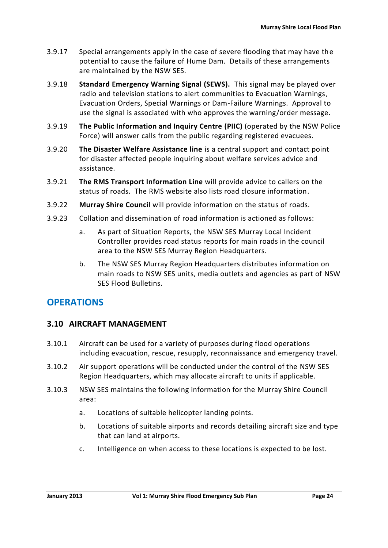- 3.9.17 Special arrangements apply in the case of severe flooding that may have the potential to cause the failure of Hume Dam. Details of these arrangements are maintained by the NSW SES.
- 3.9.18 **Standard Emergency Warning Signal (SEWS).** This signal may be played over radio and television stations to alert communities to Evacuation Warnings, Evacuation Orders, Special Warnings or Dam-Failure Warnings. Approval to use the signal is associated with who approves the warning/order message.
- 3.9.19 **The Public Information and Inquiry Centre (PIIC)** (operated by the NSW Police Force) will answer calls from the public regarding registered evacuees.
- 3.9.20 **The Disaster Welfare Assistance line** is a central support and contact point for disaster affected people inquiring about welfare services advice and assistance.
- 3.9.21 **The RMS Transport Information Line** will provide advice to callers on the status of roads. The RMS website also lists road closure information.
- 3.9.22 **Murray Shire Council** will provide information on the status of roads.
- 3.9.23 Collation and dissemination of road information is actioned as follows:
	- a. As part of Situation Reports, the NSW SES Murray Local Incident Controller provides road status reports for main roads in the council area to the NSW SES Murray Region Headquarters.
	- b. The NSW SES Murray Region Headquarters distributes information on main roads to NSW SES units, media outlets and agencies as part of NSW SES Flood Bulletins.

### **OPERATIONS**

### <span id="page-37-0"></span>**3.10 AIRCRAFT MANAGEMENT**

- 3.10.1 Aircraft can be used for a variety of purposes during flood operations including evacuation, rescue, resupply, reconnaissance and emergency travel.
- 3.10.2 Air support operations will be conducted under the control of the NSW SES Region Headquarters, which may allocate aircraft to units if applicable.
- 3.10.3 NSW SES maintains the following information for the Murray Shire Council area:
	- a. Locations of suitable helicopter landing points.
	- b. Locations of suitable airports and records detailing aircraft size and type that can land at airports.
	- c. Intelligence on when access to these locations is expected to be lost.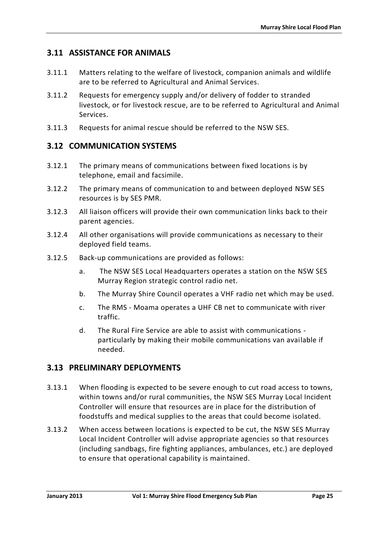### <span id="page-38-0"></span>**3.11 ASSISTANCE FOR ANIMALS**

- 3.11.1 Matters relating to the welfare of livestock, companion animals and wildlife are to be referred to Agricultural and Animal Services.
- 3.11.2 Requests for emergency supply and/or delivery of fodder to stranded livestock, or for livestock rescue, are to be referred to Agricultural and Animal Services.
- 3.11.3 Requests for animal rescue should be referred to the NSW SES.

### <span id="page-38-1"></span>**3.12 COMMUNICATION SYSTEMS**

- 3.12.1 The primary means of communications between fixed locations is by telephone, email and facsimile.
- 3.12.2 The primary means of communication to and between deployed NSW SES resources is by SES PMR.
- 3.12.3 All liaison officers will provide their own communication links back to their parent agencies.
- 3.12.4 All other organisations will provide communications as necessary to their deployed field teams.
- 3.12.5 Back-up communications are provided as follows:
	- a. The NSW SES Local Headquarters operates a station on the NSW SES Murray Region strategic control radio net.
	- b. The Murray Shire Council operates a VHF radio net which may be used.
	- c. The RMS Moama operates a UHF CB net to communicate with river traffic.
	- d. The Rural Fire Service are able to assist with communications particularly by making their mobile communications van available if needed.

### <span id="page-38-2"></span>**3.13 PRELIMINARY DEPLOYMENTS**

- 3.13.1 When flooding is expected to be severe enough to cut road access to towns, within towns and/or rural communities, the NSW SES Murray Local Incident Controller will ensure that resources are in place for the distribution of foodstuffs and medical supplies to the areas that could become isolated.
- 3.13.2 When access between locations is expected to be cut, the NSW SES Murray Local Incident Controller will advise appropriate agencies so that resources (including sandbags, fire fighting appliances, ambulances, etc.) are deployed to ensure that operational capability is maintained.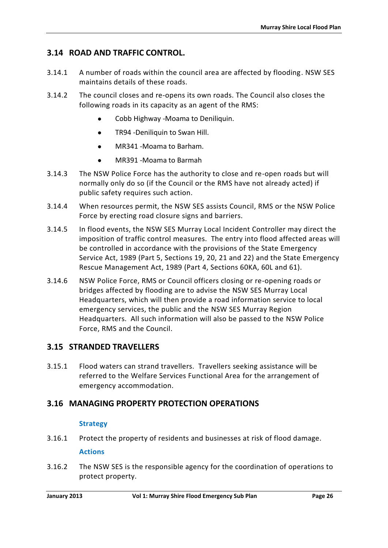### <span id="page-39-0"></span>**3.14 ROAD AND TRAFFIC CONTROL.**

- 3.14.1 A number of roads within the council area are affected by flooding. NSW SES maintains details of these roads.
- 3.14.2 The council closes and re-opens its own roads. The Council also closes the following roads in its capacity as an agent of the RMS:
	- Cobb Highway -Moama to Deniliquin.
	- **•** TR94 -Deniliquin to Swan Hill.
	- $\bullet$  MR341 -Moama to Barham.
	- MR391 -Moama to Barmah
- 3.14.3 The NSW Police Force has the authority to close and re-open roads but will normally only do so (if the Council or the RMS have not already acted) if public safety requires such action.
- 3.14.4 When resources permit, the NSW SES assists Council, RMS or the NSW Police Force by erecting road closure signs and barriers.
- 3.14.5 In flood events, the NSW SES Murray Local Incident Controller may direct the imposition of traffic control measures. The entry into flood affected areas will be controlled in accordance with the provisions of the State Emergency Service Act, 1989 (Part 5, Sections 19, 20, 21 and 22) and the State Emergency Rescue Management Act, 1989 (Part 4, Sections 60KA, 60L and 61).
- 3.14.6 NSW Police Force, RMS or Council officers closing or re-opening roads or bridges affected by flooding are to advise the NSW SES Murray Local Headquarters, which will then provide a road information service to local emergency services, the public and the NSW SES Murray Region Headquarters. All such information will also be passed to the NSW Police Force, RMS and the Council.

### <span id="page-39-1"></span>**3.15 STRANDED TRAVELLERS**

3.15.1 Flood waters can strand travellers. Travellers seeking assistance will be referred to the Welfare Services Functional Area for the arrangement of emergency accommodation.

### <span id="page-39-2"></span>**3.16 MANAGING PROPERTY PROTECTION OPERATIONS**

#### **Strategy**

- 3.16.1 Protect the property of residents and businesses at risk of flood damage. **Actions**
- 3.16.2 The NSW SES is the responsible agency for the coordination of operations to protect property.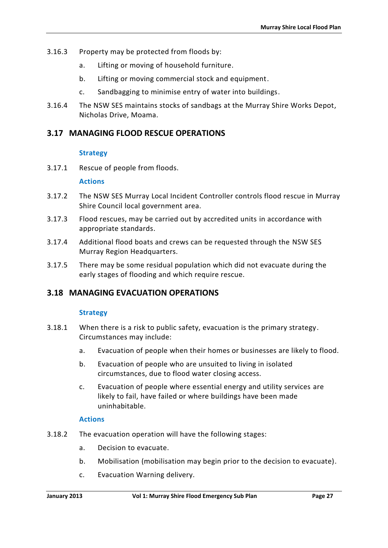- 3.16.3 Property may be protected from floods by:
	- a. Lifting or moving of household furniture.
	- b. Lifting or moving commercial stock and equipment.
	- c. Sandbagging to minimise entry of water into buildings.
- 3.16.4 The NSW SES maintains stocks of sandbags at the Murray Shire Works Depot, Nicholas Drive, Moama.

### <span id="page-40-0"></span>**3.17 MANAGING FLOOD RESCUE OPERATIONS**

#### **Strategy**

3.17.1 Rescue of people from floods.

#### **Actions**

- 3.17.2 The NSW SES Murray Local Incident Controller controls flood rescue in Murray Shire Council local government area.
- 3.17.3 Flood rescues, may be carried out by accredited units in accordance with appropriate standards.
- 3.17.4 Additional flood boats and crews can be requested through the NSW SES Murray Region Headquarters.
- 3.17.5 There may be some residual population which did not evacuate during the early stages of flooding and which require rescue.

### <span id="page-40-1"></span>**3.18 MANAGING EVACUATION OPERATIONS**

### **Strategy**

- 3.18.1 When there is a risk to public safety, evacuation is the primary strategy. Circumstances may include:
	- a. Evacuation of people when their homes or businesses are likely to flood.
	- b. Evacuation of people who are unsuited to living in isolated circumstances, due to flood water closing access.
	- c. Evacuation of people where essential energy and utility services are likely to fail, have failed or where buildings have been made uninhabitable.

#### **Actions**

- 3.18.2 The evacuation operation will have the following stages:
	- a. Decision to evacuate.
	- b. Mobilisation (mobilisation may begin prior to the decision to evacuate).
	- c. Evacuation Warning delivery.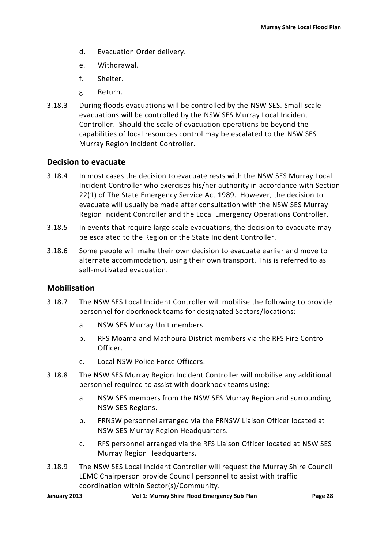- d. Evacuation Order delivery.
- e. Withdrawal.
- f. Shelter.
- g. Return.
- 3.18.3 During floods evacuations will be controlled by the NSW SES. Small-scale evacuations will be controlled by the NSW SES Murray Local Incident Controller. Should the scale of evacuation operations be beyond the capabilities of local resources control may be escalated to the NSW SES Murray Region Incident Controller.

### **Decision to evacuate**

- 3.18.4 In most cases the decision to evacuate rests with the NSW SES Murray Local Incident Controller who exercises his/her authority in accordance with Section 22(1) of The State Emergency Service Act 1989. However, the decision to evacuate will usually be made after consultation with the NSW SES Murray Region Incident Controller and the Local Emergency Operations Controller.
- 3.18.5 In events that require large scale evacuations, the decision to evacuate may be escalated to the Region or the State Incident Controller.
- 3.18.6 Some people will make their own decision to evacuate earlier and move to alternate accommodation, using their own transport. This is referred to as self-motivated evacuation.

### **Mobilisation**

- 3.18.7 The NSW SES Local Incident Controller will mobilise the following to provide personnel for doorknock teams for designated Sectors/locations:
	- a. NSW SES Murray Unit members.
	- b. RFS Moama and Mathoura District members via the RFS Fire Control Officer.
	- c. Local NSW Police Force Officers.
- 3.18.8 The NSW SES Murray Region Incident Controller will mobilise any additional personnel required to assist with doorknock teams using:
	- a. NSW SES members from the NSW SES Murray Region and surrounding NSW SES Regions.
	- b. FRNSW personnel arranged via the FRNSW Liaison Officer located at NSW SES Murray Region Headquarters.
	- c. RFS personnel arranged via the RFS Liaison Officer located at NSW SES Murray Region Headquarters.
- 3.18.9 The NSW SES Local Incident Controller will request the Murray Shire Council LEMC Chairperson provide Council personnel to assist with traffic coordination within Sector(s)/Community.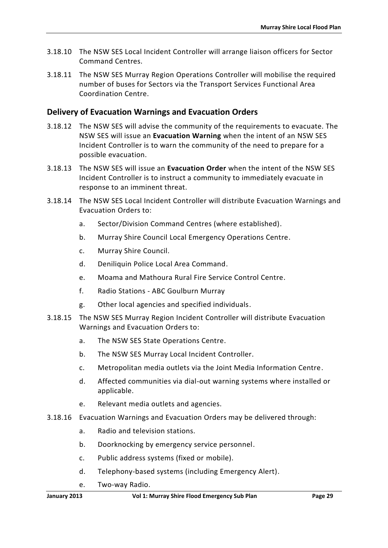- 3.18.10 The NSW SES Local Incident Controller will arrange liaison officers for Sector Command Centres.
- 3.18.11 The NSW SES Murray Region Operations Controller will mobilise the required number of buses for Sectors via the Transport Services Functional Area Coordination Centre.

### **Delivery of Evacuation Warnings and Evacuation Orders**

- 3.18.12 The NSW SES will advise the community of the requirements to evacuate. The NSW SES will issue an **Evacuation Warning** when the intent of an NSW SES Incident Controller is to warn the community of the need to prepare for a possible evacuation.
- 3.18.13 The NSW SES will issue an **Evacuation Order** when the intent of the NSW SES Incident Controller is to instruct a community to immediately evacuate in response to an imminent threat.
- 3.18.14 The NSW SES Local Incident Controller will distribute Evacuation Warnings and Evacuation Orders to:
	- a. Sector/Division Command Centres (where established).
	- b. Murray Shire Council Local Emergency Operations Centre.
	- c. Murray Shire Council.
	- d. Deniliquin Police Local Area Command.
	- e. Moama and Mathoura Rural Fire Service Control Centre.
	- f. Radio Stations ABC Goulburn Murray
	- g. Other local agencies and specified individuals.
- 3.18.15 The NSW SES Murray Region Incident Controller will distribute Evacuation Warnings and Evacuation Orders to:
	- a. The NSW SES State Operations Centre.
	- b. The NSW SES Murray Local Incident Controller.
	- c. Metropolitan media outlets via the Joint Media Information Centre.
	- d. Affected communities via dial-out warning systems where installed or applicable.
	- e. Relevant media outlets and agencies.
- 3.18.16 Evacuation Warnings and Evacuation Orders may be delivered through:
	- a. Radio and television stations.
	- b. Doorknocking by emergency service personnel.
	- c. Public address systems (fixed or mobile).
	- d. Telephony-based systems (including Emergency Alert).
	- e. Two-way Radio.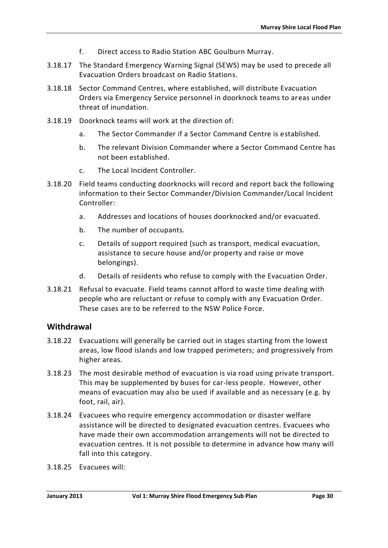- f. Direct access to Radio Station ABC Goulburn Murray.
- 3.18.17 The Standard Emergency Warning Signal (SEWS) may be used to precede all Evacuation Orders broadcast on Radio Stations.
- 3.18.18 Sector Command Centres, where established, will distribute Evacuation Orders via Emergency Service personnel in doorknock teams to areas under threat of inundation.
- 3.18.19 Doorknock teams will work at the direction of:
	- a. The Sector Commander if a Sector Command Centre is established.
	- b. The relevant Division Commander where a Sector Command Centre has not been established.
	- c. The Local Incident Controller.
- 3.18.20 Field teams conducting doorknocks will record and report back the following information to their Sector Commander/Division Commander/Local Incident Controller:
	- a. Addresses and locations of houses doorknocked and/or evacuated.
	- b. The number of occupants.
	- c. Details of support required (such as transport, medical evacuation, assistance to secure house and/or property and raise or move belongings).
	- d. Details of residents who refuse to comply with the Evacuation Order.
- 3.18.21 Refusal to evacuate. Field teams cannot afford to waste time dealing with people who are reluctant or refuse to comply with any Evacuation Order. These cases are to be referred to the NSW Police Force.

### **Withdrawal**

- 3.18.22 Evacuations will generally be carried out in stages starting from the lowest areas, low flood islands and low trapped perimeters; and progressively from higher areas.
- 3.18.23 The most desirable method of evacuation is via road using private transport. This may be supplemented by buses for car-less people. However, other means of evacuation may also be used if available and as necessary (e.g. by foot, rail, air).
- 3.18.24 Evacuees who require emergency accommodation or disaster welfare assistance will be directed to designated evacuation centres. Evacuees who have made their own accommodation arrangements will not be directed to evacuation centres. It is not possible to determine in advance how many will fall into this category.
- 3.18.25 Evacuees will: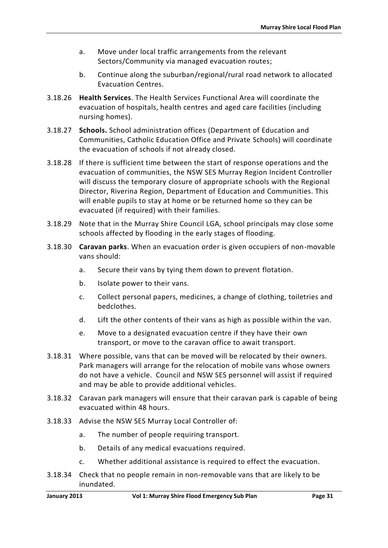- a. Move under local traffic arrangements from the relevant Sectors/Community via managed evacuation routes;
- b. Continue along the suburban/regional/rural road network to allocated Evacuation Centres.
- 3.18.26 **Health Services**. The Health Services Functional Area will coordinate the evacuation of hospitals, health centres and aged care facilities (including nursing homes).
- 3.18.27 **Schools.** School administration offices (Department of Education and Communities, Catholic Education Office and Private Schools) will coordinate the evacuation of schools if not already closed.
- 3.18.28 If there is sufficient time between the start of response operations and the evacuation of communities, the NSW SES Murray Region Incident Controller will discuss the temporary closure of appropriate schools with the Regional Director, Riverina Region, Department of Education and Communities. This will enable pupils to stay at home or be returned home so they can be evacuated (if required) with their families.
- 3.18.29 Note that in the Murray Shire Council LGA, school principals may close some schools affected by flooding in the early stages of flooding.
- 3.18.30 **Caravan parks**. When an evacuation order is given occupiers of non-movable vans should:
	- a. Secure their vans by tying them down to prevent flotation.
	- b. Isolate power to their vans.
	- c. Collect personal papers, medicines, a change of clothing, toiletries and bedclothes.
	- d. Lift the other contents of their vans as high as possible within the van.
	- e. Move to a designated evacuation centre if they have their own transport, or move to the caravan office to await transport.
- 3.18.31 Where possible, vans that can be moved will be relocated by their owners. Park managers will arrange for the relocation of mobile vans whose owners do not have a vehicle. Council and NSW SES personnel will assist if required and may be able to provide additional vehicles.
- 3.18.32 Caravan park managers will ensure that their caravan park is capable of being evacuated within 48 hours.
- 3.18.33 Advise the NSW SES Murray Local Controller of:
	- a. The number of people requiring transport.
	- b. Details of any medical evacuations required.
	- c. Whether additional assistance is required to effect the evacuation.
- 3.18.34 Check that no people remain in non-removable vans that are likely to be inundated.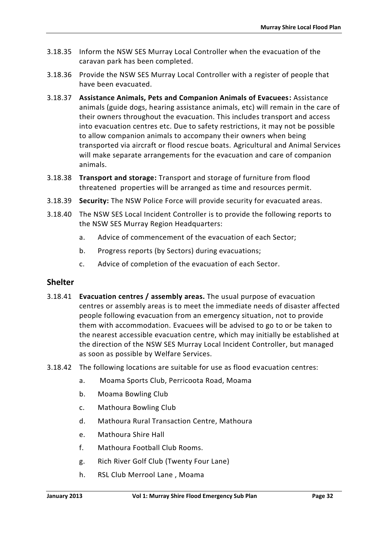- 3.18.35 Inform the NSW SES Murray Local Controller when the evacuation of the caravan park has been completed.
- 3.18.36 Provide the NSW SES Murray Local Controller with a register of people that have been evacuated.
- 3.18.37 **Assistance Animals, Pets and Companion Animals of Evacuees:** Assistance animals (guide dogs, hearing assistance animals, etc) will remain in the care of their owners throughout the evacuation. This includes transport and access into evacuation centres etc. Due to safety restrictions, it may not be possible to allow companion animals to accompany their owners when being transported via aircraft or flood rescue boats. Agricultural and Animal Services will make separate arrangements for the evacuation and care of companion animals.
- 3.18.38 **Transport and storage:** Transport and storage of furniture from flood threatened properties will be arranged as time and resources permit.
- 3.18.39 **Security:** The NSW Police Force will provide security for evacuated areas.
- 3.18.40 The NSW SES Local Incident Controller is to provide the following reports to the NSW SES Murray Region Headquarters:
	- a. Advice of commencement of the evacuation of each Sector;
	- b. Progress reports (by Sectors) during evacuations;
	- c. Advice of completion of the evacuation of each Sector.

### **Shelter**

- 3.18.41 **Evacuation centres / assembly areas.** The usual purpose of evacuation centres or assembly areas is to meet the immediate needs of disaster affected people following evacuation from an emergency situation, not to provide them with accommodation. Evacuees will be advised to go to or be taken to the nearest accessible evacuation centre, which may initially be established at the direction of the NSW SES Murray Local Incident Controller, but managed as soon as possible by Welfare Services.
- 3.18.42 The following locations are suitable for use as flood evacuation centres:
	- a. Moama Sports Club, Perricoota Road, Moama
	- b. Moama Bowling Club
	- c. Mathoura Bowling Club
	- d. Mathoura Rural Transaction Centre, Mathoura
	- e. Mathoura Shire Hall
	- f. Mathoura Football Club Rooms.
	- g. Rich River Golf Club (Twenty Four Lane)
	- h. RSL Club Merrool Lane , Moama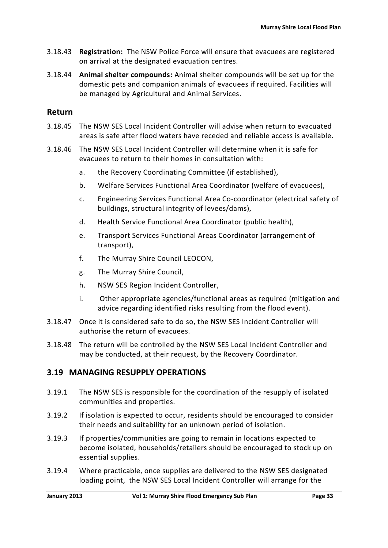- 3.18.43 **Registration:** The NSW Police Force will ensure that evacuees are registered on arrival at the designated evacuation centres.
- 3.18.44 **Animal shelter compounds:** Animal shelter compounds will be set up for the domestic pets and companion animals of evacuees if required. Facilities will be managed by Agricultural and Animal Services.

### **Return**

- 3.18.45 The NSW SES Local Incident Controller will advise when return to evacuated areas is safe after flood waters have receded and reliable access is available.
- 3.18.46 The NSW SES Local Incident Controller will determine when it is safe for evacuees to return to their homes in consultation with:
	- a. the Recovery Coordinating Committee (if established),
	- b. Welfare Services Functional Area Coordinator (welfare of evacuees),
	- c. Engineering Services Functional Area Co-coordinator (electrical safety of buildings, structural integrity of levees/dams),
	- d. Health Service Functional Area Coordinator (public health),
	- e. Transport Services Functional Areas Coordinator (arrangement of transport),
	- f. The Murray Shire Council LEOCON,
	- g. The Murray Shire Council,
	- h. NSW SES Region Incident Controller,
	- i. Other appropriate agencies/functional areas as required (mitigation and advice regarding identified risks resulting from the flood event).
- 3.18.47 Once it is considered safe to do so, the NSW SES Incident Controller will authorise the return of evacuees.
- 3.18.48 The return will be controlled by the NSW SES Local Incident Controller and may be conducted, at their request, by the Recovery Coordinator.

### <span id="page-46-0"></span>**3.19 MANAGING RESUPPLY OPERATIONS**

- 3.19.1 The NSW SES is responsible for the coordination of the resupply of isolated communities and properties.
- 3.19.2 If isolation is expected to occur, residents should be encouraged to consider their needs and suitability for an unknown period of isolation.
- 3.19.3 If properties/communities are going to remain in locations expected to become isolated, households/retailers should be encouraged to stock up on essential supplies.
- 3.19.4 Where practicable, once supplies are delivered to the NSW SES designated loading point, the NSW SES Local Incident Controller will arrange for the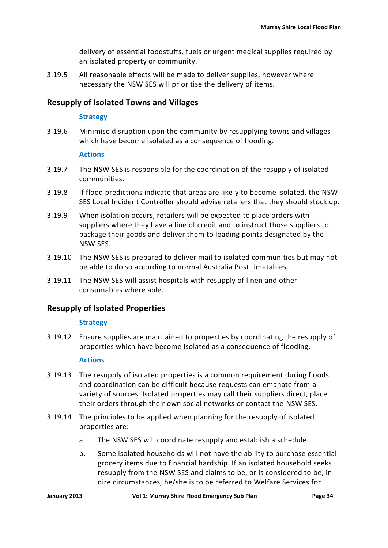delivery of essential foodstuffs, fuels or urgent medical supplies required by an isolated property or community.

3.19.5 All reasonable effects will be made to deliver supplies, however where necessary the NSW SES will prioritise the delivery of items.

### **Resupply of Isolated Towns and Villages**

#### **Strategy**

3.19.6 Minimise disruption upon the community by resupplying towns and villages which have become isolated as a consequence of flooding.

#### **Actions**

- 3.19.7 The NSW SES is responsible for the coordination of the resupply of isolated communities.
- 3.19.8 If flood predictions indicate that areas are likely to become isolated, the NSW SES Local Incident Controller should advise retailers that they should stock up.
- 3.19.9 When isolation occurs, retailers will be expected to place orders with suppliers where they have a line of credit and to instruct those suppliers to package their goods and deliver them to loading points designated by the NSW SES.
- 3.19.10 The NSW SES is prepared to deliver mail to isolated communities but may not be able to do so according to normal Australia Post timetables.
- 3.19.11 The NSW SES will assist hospitals with resupply of linen and other consumables where able.

### **Resupply of Isolated Properties**

### **Strategy**

3.19.12 Ensure supplies are maintained to properties by coordinating the resupply of properties which have become isolated as a consequence of flooding.

### **Actions**

- 3.19.13 The resupply of isolated properties is a common requirement during floods and coordination can be difficult because requests can emanate from a variety of sources. Isolated properties may call their suppliers direct, place their orders through their own social networks or contact the NSW SES.
- 3.19.14 The principles to be applied when planning for the resupply of isolated properties are:
	- a. The NSW SES will coordinate resupply and establish a schedule.
	- b. Some isolated households will not have the ability to purchase essential grocery items due to financial hardship. If an isolated household seeks resupply from the NSW SES and claims to be, or is considered to be, in dire circumstances, he/she is to be referred to Welfare Services for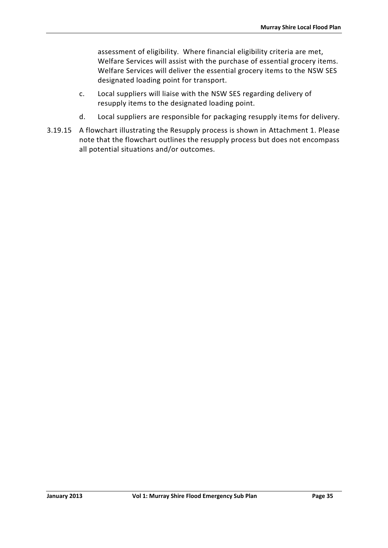assessment of eligibility. Where financial eligibility criteria are met, Welfare Services will assist with the purchase of essential grocery items. Welfare Services will deliver the essential grocery items to the NSW SES designated loading point for transport.

- c. Local suppliers will liaise with the NSW SES regarding delivery of resupply items to the designated loading point.
- d. Local suppliers are responsible for packaging resupply items for delivery.
- 3.19.15 A flowchart illustrating the Resupply process is shown in Attachment 1. Please note that the flowchart outlines the resupply process but does not encompass all potential situations and/or outcomes.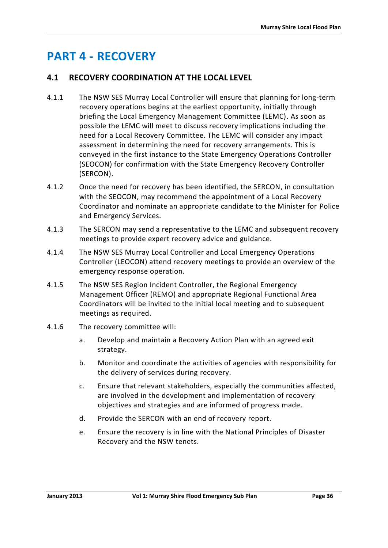# <span id="page-49-0"></span>**PART 4 - RECOVERY**

### <span id="page-49-1"></span>**4.1 RECOVERY COORDINATION AT THE LOCAL LEVEL**

- 4.1.1 The NSW SES Murray Local Controller will ensure that planning for long-term recovery operations begins at the earliest opportunity, initially through briefing the Local Emergency Management Committee (LEMC). As soon as possible the LEMC will meet to discuss recovery implications including the need for a Local Recovery Committee. The LEMC will consider any impact assessment in determining the need for recovery arrangements. This is conveyed in the first instance to the State Emergency Operations Controller (SEOCON) for confirmation with the State Emergency Recovery Controller (SERCON).
- 4.1.2 Once the need for recovery has been identified, the SERCON, in consultation with the SEOCON, may recommend the appointment of a Local Recovery Coordinator and nominate an appropriate candidate to the Minister for Police and Emergency Services.
- 4.1.3 The SERCON may send a representative to the LEMC and subsequent recovery meetings to provide expert recovery advice and guidance.
- 4.1.4 The NSW SES Murray Local Controller and Local Emergency Operations Controller (LEOCON) attend recovery meetings to provide an overview of the emergency response operation.
- 4.1.5 The NSW SES Region Incident Controller, the Regional Emergency Management Officer (REMO) and appropriate Regional Functional Area Coordinators will be invited to the initial local meeting and to subsequent meetings as required.
- 4.1.6 The recovery committee will:
	- a. Develop and maintain a Recovery Action Plan with an agreed exit strategy.
	- b. Monitor and coordinate the activities of agencies with responsibility for the delivery of services during recovery.
	- c. Ensure that relevant stakeholders, especially the communities affected, are involved in the development and implementation of recovery objectives and strategies and are informed of progress made.
	- d. Provide the SERCON with an end of recovery report.
	- e. Ensure the recovery is in line with the National Principles of Disaster Recovery and the NSW tenets.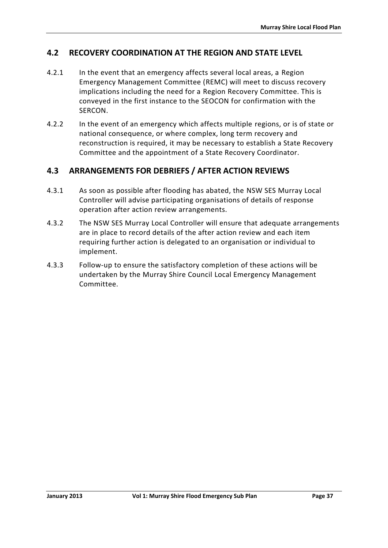### <span id="page-50-0"></span>**4.2 RECOVERY COORDINATION AT THE REGION AND STATE LEVEL**

- 4.2.1 In the event that an emergency affects several local areas, a Region Emergency Management Committee (REMC) will meet to discuss recovery implications including the need for a Region Recovery Committee. This is conveyed in the first instance to the SEOCON for confirmation with the SERCON.
- 4.2.2 In the event of an emergency which affects multiple regions, or is of state or national consequence, or where complex, long term recovery and reconstruction is required, it may be necessary to establish a State Recovery Committee and the appointment of a State Recovery Coordinator.

### <span id="page-50-1"></span>**4.3 ARRANGEMENTS FOR DEBRIEFS / AFTER ACTION REVIEWS**

- 4.3.1 As soon as possible after flooding has abated, the NSW SES Murray Local Controller will advise participating organisations of details of response operation after action review arrangements.
- 4.3.2 The NSW SES Murray Local Controller will ensure that adequate arrangements are in place to record details of the after action review and each item requiring further action is delegated to an organisation or individual to implement.
- 4.3.3 Follow-up to ensure the satisfactory completion of these actions will be undertaken by the Murray Shire Council Local Emergency Management Committee.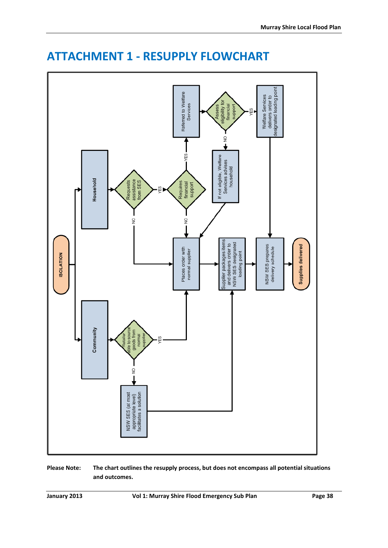

# <span id="page-51-0"></span>**ATTACHMENT 1 - RESUPPLY FLOWCHART**

**Please Note: The chart outlines the resupply process, but does not encompass all potential situations and outcomes.**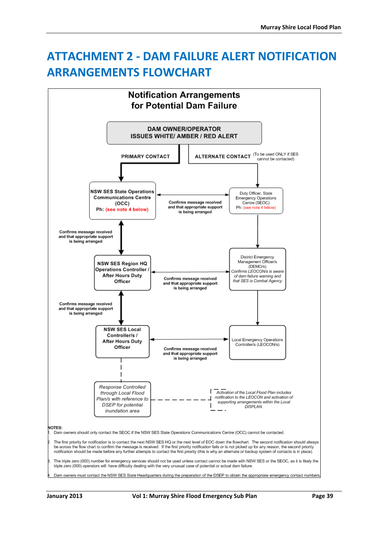# <span id="page-52-0"></span>**ATTACHMENT 2 - DAM FAILURE ALERT NOTIFICATION ARRANGEMENTS FLOWCHART**